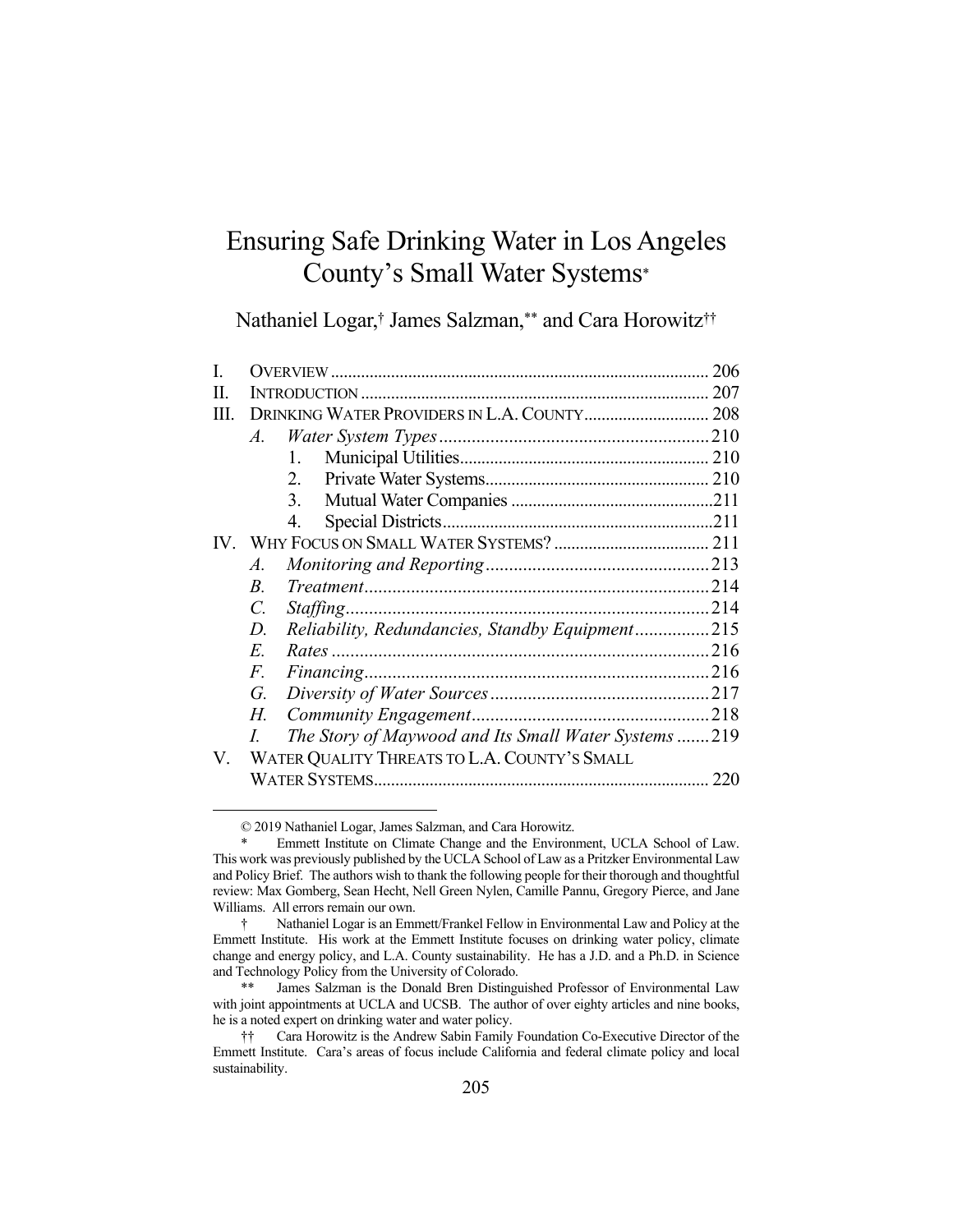# Ensuring Safe Drinking Water in Los Angeles County's Small Water Systems\*

Nathaniel Logar,† James Salzman,\*\* and Cara Horowitz††

|             |                                                     | 206                                                                                             |  |
|-------------|-----------------------------------------------------|-------------------------------------------------------------------------------------------------|--|
|             |                                                     |                                                                                                 |  |
| Ш           |                                                     |                                                                                                 |  |
| $A_{\cdot}$ |                                                     |                                                                                                 |  |
|             | 1.                                                  |                                                                                                 |  |
|             | 2.                                                  |                                                                                                 |  |
|             | 3.                                                  |                                                                                                 |  |
|             | 4.                                                  |                                                                                                 |  |
|             |                                                     |                                                                                                 |  |
| A.          |                                                     |                                                                                                 |  |
| $B_{\cdot}$ |                                                     |                                                                                                 |  |
| C.          |                                                     |                                                                                                 |  |
| D.          |                                                     |                                                                                                 |  |
| E.          |                                                     |                                                                                                 |  |
| F.          |                                                     |                                                                                                 |  |
| G.          |                                                     |                                                                                                 |  |
| Н.          |                                                     |                                                                                                 |  |
|             | The Story of Maywood and Its Small Water Systems219 |                                                                                                 |  |
|             |                                                     |                                                                                                 |  |
|             |                                                     | 220                                                                                             |  |
|             |                                                     | Reliability, Redundancies, Standby Equipment215<br>WATER QUALITY THREATS TO L.A. COUNTY'S SMALL |  |

 <sup>© 2019</sup> Nathaniel Logar, James Salzman, and Cara Horowitz.

Emmett Institute on Climate Change and the Environment, UCLA School of Law. This work was previously published by the UCLA School of Law as a Pritzker Environmental Law and Policy Brief. The authors wish to thank the following people for their thorough and thoughtful review: Max Gomberg, Sean Hecht, Nell Green Nylen, Camille Pannu, Gregory Pierce, and Jane Williams. All errors remain our own.

 <sup>†</sup> Nathaniel Logar is an Emmett/Frankel Fellow in Environmental Law and Policy at the Emmett Institute. His work at the Emmett Institute focuses on drinking water policy, climate change and energy policy, and L.A. County sustainability. He has a J.D. and a Ph.D. in Science and Technology Policy from the University of Colorado.

 <sup>\*\*</sup> James Salzman is the Donald Bren Distinguished Professor of Environmental Law with joint appointments at UCLA and UCSB. The author of over eighty articles and nine books, he is a noted expert on drinking water and water policy.

 <sup>††</sup> Cara Horowitz is the Andrew Sabin Family Foundation Co-Executive Director of the Emmett Institute. Cara's areas of focus include California and federal climate policy and local sustainability.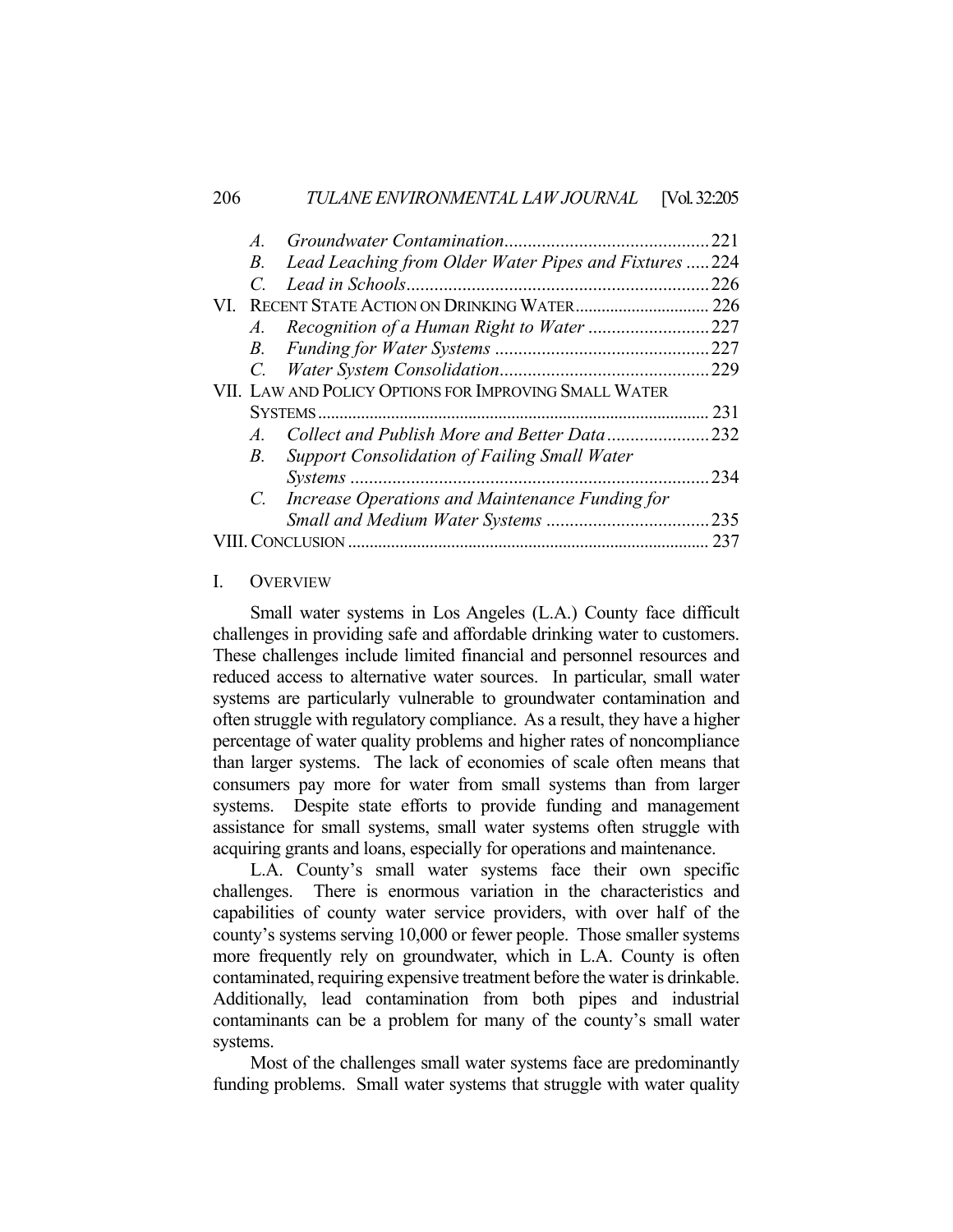| $\overline{A}$ |                                                       | 221  |
|----------------|-------------------------------------------------------|------|
| B.             | Lead Leaching from Older Water Pipes and Fixtures 224 |      |
|                |                                                       | 226  |
|                |                                                       | 226  |
| $A$ .          |                                                       | .227 |
| $B_{\cdot}$    |                                                       |      |
|                |                                                       | .229 |
|                | VII. LAW AND POLICY OPTIONS FOR IMPROVING SMALL WATER |      |
|                |                                                       | 231  |
| $A_{\cdot}$    | Collect and Publish More and Better Data              | 232  |
| <i>B</i> .     | <b>Support Consolidation of Failing Small Water</b>   |      |
|                |                                                       | 234  |
| $C_{\cdot}$    | Increase Operations and Maintenance Funding for       |      |
|                |                                                       | .235 |
|                | CLUSION                                               | 237  |
|                |                                                       |      |

## I. OVERVIEW

Small water systems in Los Angeles (L.A.) County face difficult challenges in providing safe and affordable drinking water to customers. These challenges include limited financial and personnel resources and reduced access to alternative water sources. In particular, small water systems are particularly vulnerable to groundwater contamination and often struggle with regulatory compliance. As a result, they have a higher percentage of water quality problems and higher rates of noncompliance than larger systems. The lack of economies of scale often means that consumers pay more for water from small systems than from larger systems. Despite state efforts to provide funding and management assistance for small systems, small water systems often struggle with acquiring grants and loans, especially for operations and maintenance.

 L.A. County's small water systems face their own specific challenges. There is enormous variation in the characteristics and capabilities of county water service providers, with over half of the county's systems serving 10,000 or fewer people. Those smaller systems more frequently rely on groundwater, which in L.A. County is often contaminated, requiring expensive treatment before the water is drinkable. Additionally, lead contamination from both pipes and industrial contaminants can be a problem for many of the county's small water systems.

 Most of the challenges small water systems face are predominantly funding problems. Small water systems that struggle with water quality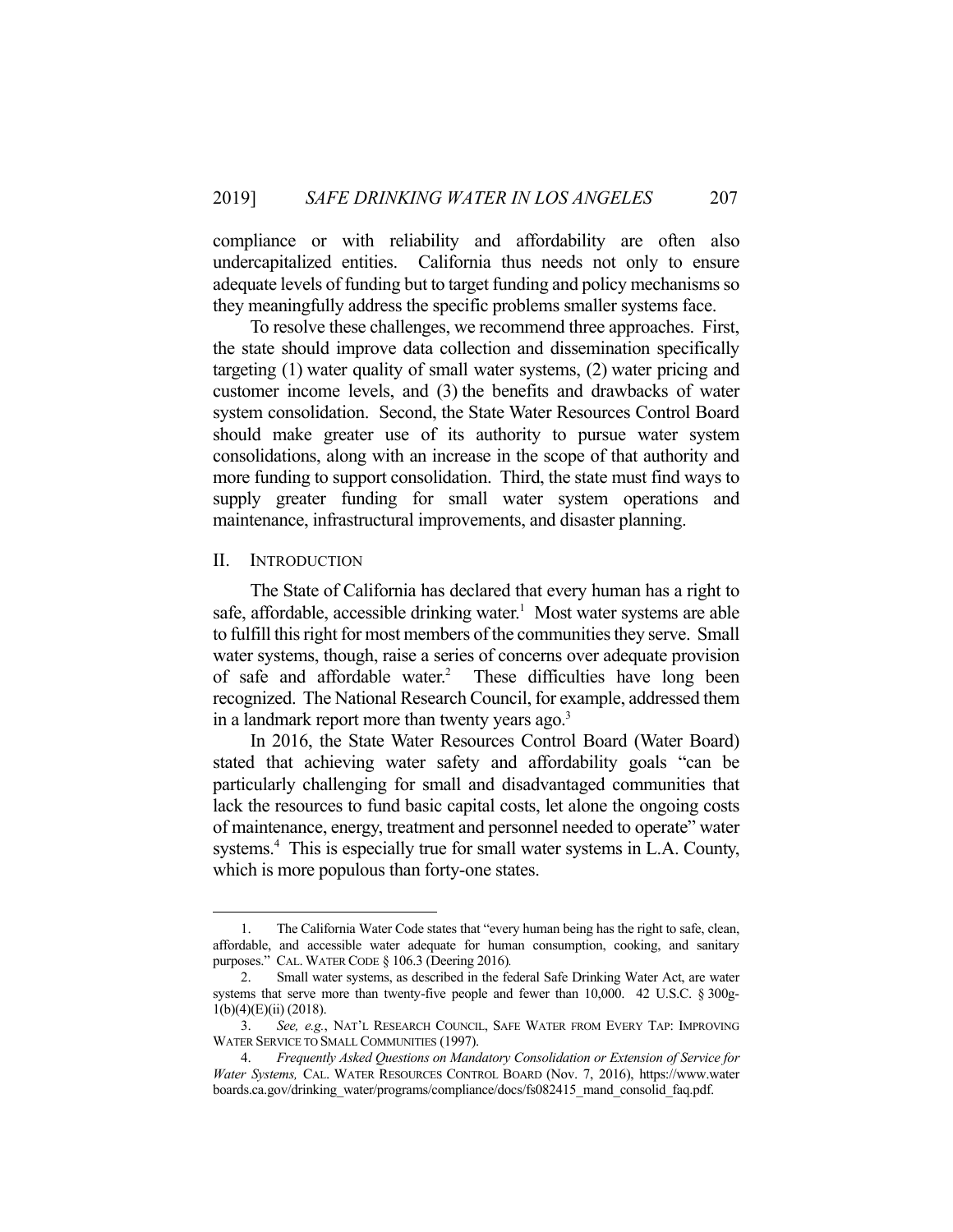compliance or with reliability and affordability are often also undercapitalized entities. California thus needs not only to ensure adequate levels of funding but to target funding and policy mechanisms so they meaningfully address the specific problems smaller systems face.

 To resolve these challenges, we recommend three approaches. First, the state should improve data collection and dissemination specifically targeting (1) water quality of small water systems, (2) water pricing and customer income levels, and (3) the benefits and drawbacks of water system consolidation. Second, the State Water Resources Control Board should make greater use of its authority to pursue water system consolidations, along with an increase in the scope of that authority and more funding to support consolidation. Third, the state must find ways to supply greater funding for small water system operations and maintenance, infrastructural improvements, and disaster planning.

#### II. INTRODUCTION

1

The State of California has declared that every human has a right to safe, affordable, accessible drinking water.<sup>1</sup> Most water systems are able to fulfill this right for most members of the communities they serve. Small water systems, though, raise a series of concerns over adequate provision of safe and affordable water.<sup>2</sup> These difficulties have long been recognized. The National Research Council, for example, addressed them in a landmark report more than twenty years ago.<sup>3</sup>

 In 2016, the State Water Resources Control Board (Water Board) stated that achieving water safety and affordability goals "can be particularly challenging for small and disadvantaged communities that lack the resources to fund basic capital costs, let alone the ongoing costs of maintenance, energy, treatment and personnel needed to operate" water systems.<sup>4</sup> This is especially true for small water systems in L.A. County, which is more populous than forty-one states.

 <sup>1.</sup> The California Water Code states that "every human being has the right to safe, clean, affordable, and accessible water adequate for human consumption, cooking, and sanitary purposes." CAL. WATER CODE § 106.3 (Deering 2016)*.*

 <sup>2.</sup> Small water systems, as described in the federal Safe Drinking Water Act, are water systems that serve more than twenty-five people and fewer than 10,000. 42 U.S.C. § 300g-1(b)(4)(E)(ii) (2018).

 <sup>3.</sup> *See, e.g.*, NAT'L RESEARCH COUNCIL, SAFE WATER FROM EVERY TAP: IMPROVING WATER SERVICE TO SMALL COMMUNITIES (1997).

 <sup>4.</sup> *Frequently Asked Questions on Mandatory Consolidation or Extension of Service for Water Systems,* CAL. WATER RESOURCES CONTROL BOARD (Nov. 7, 2016), https://www.water boards.ca.gov/drinking\_water/programs/compliance/docs/fs082415\_mand\_consolid\_faq.pdf.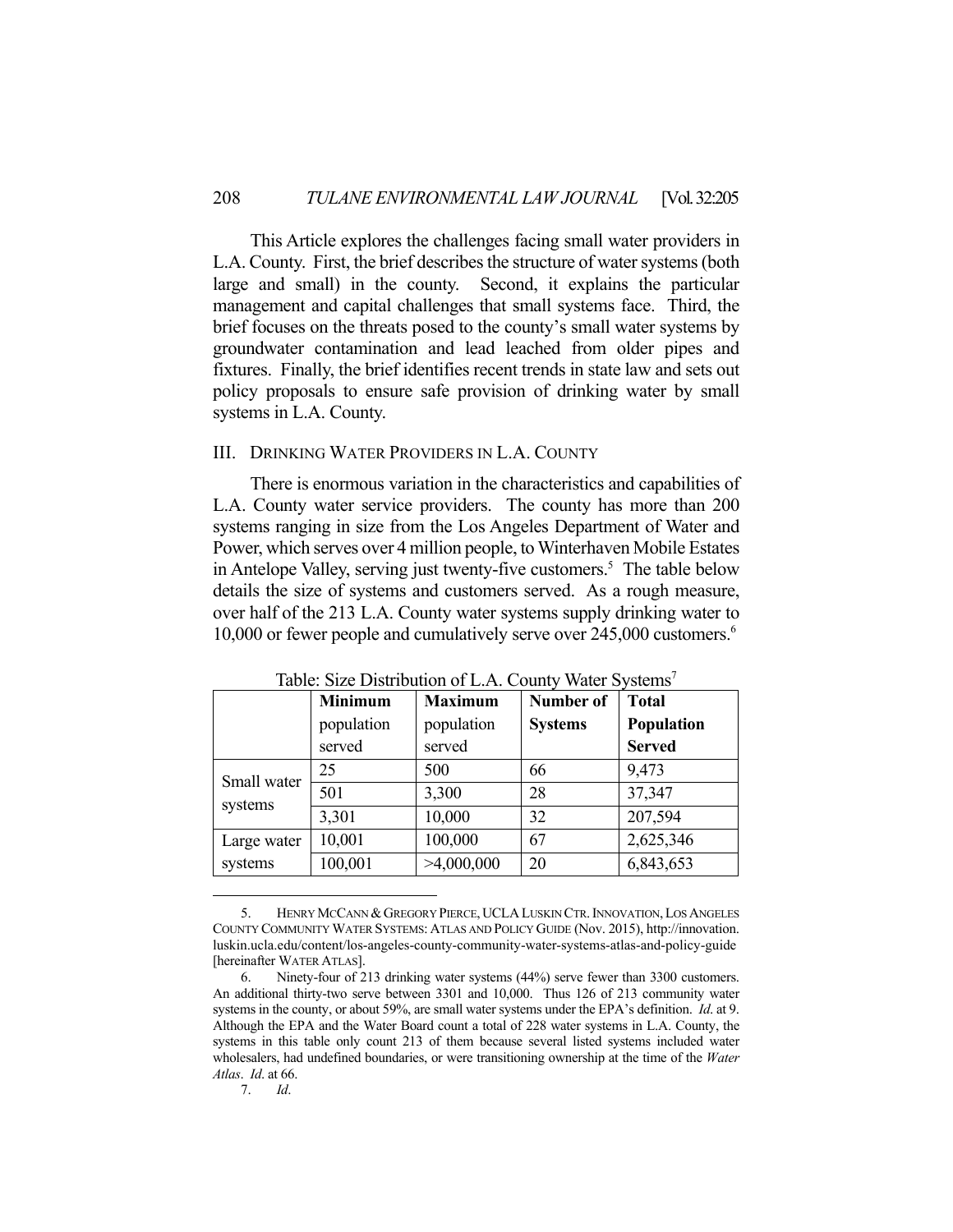This Article explores the challenges facing small water providers in L.A. County. First, the brief describes the structure of water systems (both large and small) in the county. Second, it explains the particular management and capital challenges that small systems face. Third, the brief focuses on the threats posed to the county's small water systems by groundwater contamination and lead leached from older pipes and fixtures. Finally, the brief identifies recent trends in state law and sets out policy proposals to ensure safe provision of drinking water by small systems in L.A. County.

## III. DRINKING WATER PROVIDERS IN L.A. COUNTY

There is enormous variation in the characteristics and capabilities of L.A. County water service providers. The county has more than 200 systems ranging in size from the Los Angeles Department of Water and Power, which serves over 4 million people, to Winterhaven Mobile Estates in Antelope Valley, serving just twenty-five customers.<sup>5</sup> The table below details the size of systems and customers served. As a rough measure, over half of the 213 L.A. County water systems supply drinking water to 10,000 or fewer people and cumulatively serve over 245,000 customers.<sup>6</sup>

|             | <b>Minimum</b><br>population<br>served | <b>Maximum</b><br>population<br>served | <b>Number of</b><br><b>Systems</b> | <b>Total</b><br>Population<br><b>Served</b> |
|-------------|----------------------------------------|----------------------------------------|------------------------------------|---------------------------------------------|
| Small water | 25                                     | 500                                    | 66                                 | 9,473                                       |
| systems     | 501                                    | 3,300                                  | 28                                 | 37,347                                      |
|             | 3,301                                  | 10,000                                 | 32                                 | 207,594                                     |
| Large water | 10,001                                 | 100,000                                | 67                                 | 2,625,346                                   |
| systems     | 100,001                                | >4,000,000                             | 20                                 | 6,843,653                                   |

Table: Size Distribution of L.A. County Water Systems<sup>7</sup>

7. *Id*.

 <sup>5.</sup> HENRY MCCANN &GREGORY PIERCE,UCLALUSKIN CTR.INNOVATION,LOS ANGELES COUNTY COMMUNITY WATER SYSTEMS: ATLAS AND POLICY GUIDE (Nov. 2015), http://innovation. luskin.ucla.edu/content/los-angeles-county-community-water-systems-atlas-and-policy-guide [hereinafter WATER ATLAS].

 <sup>6.</sup> Ninety-four of 213 drinking water systems (44%) serve fewer than 3300 customers. An additional thirty-two serve between 3301 and 10,000. Thus 126 of 213 community water systems in the county, or about 59%, are small water systems under the EPA's definition. *Id*. at 9. Although the EPA and the Water Board count a total of 228 water systems in L.A. County, the systems in this table only count 213 of them because several listed systems included water wholesalers, had undefined boundaries, or were transitioning ownership at the time of the *Water Atlas*. *Id*. at 66.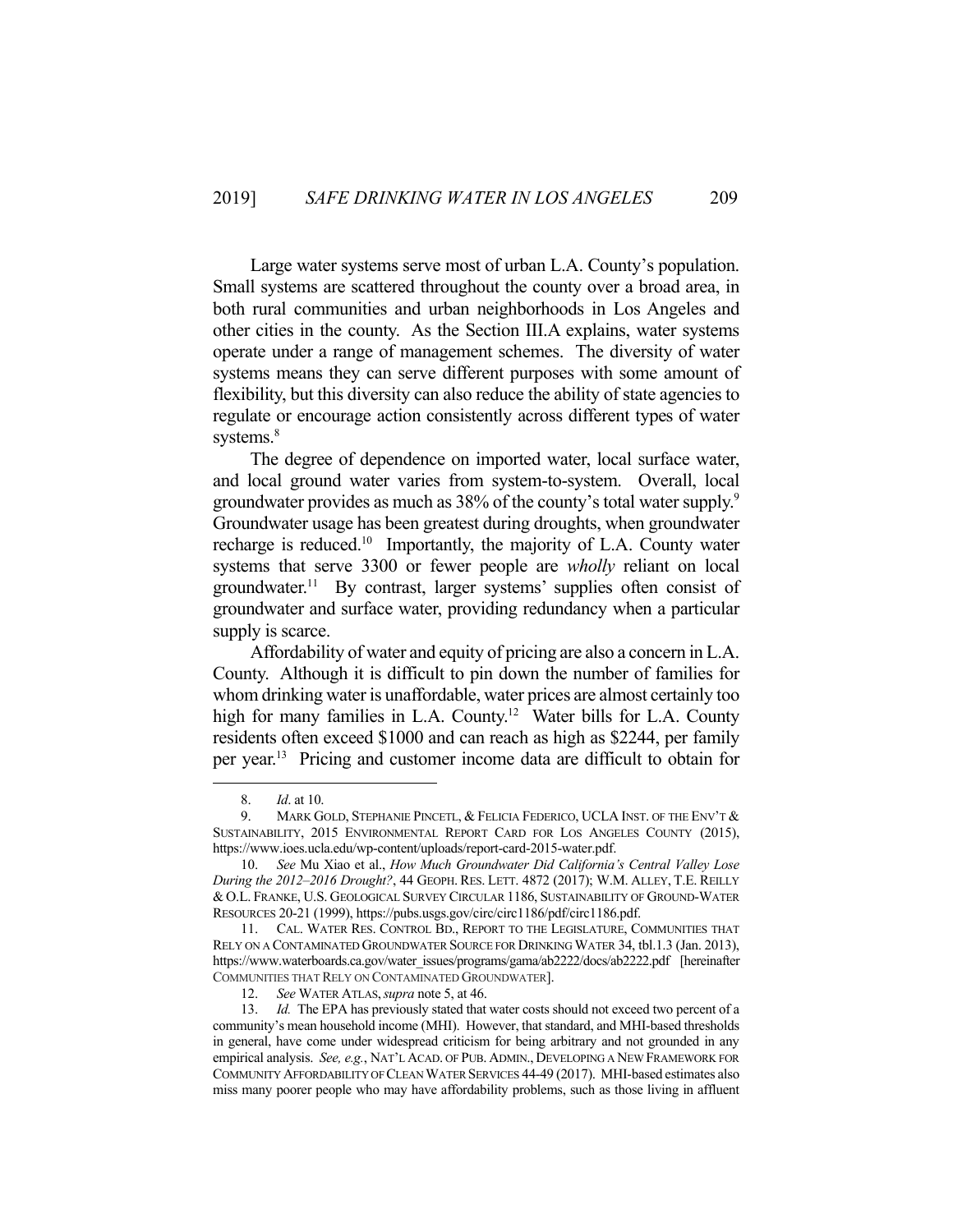Large water systems serve most of urban L.A. County's population. Small systems are scattered throughout the county over a broad area, in both rural communities and urban neighborhoods in Los Angeles and other cities in the county. As the Section III.A explains, water systems operate under a range of management schemes. The diversity of water systems means they can serve different purposes with some amount of flexibility, but this diversity can also reduce the ability of state agencies to regulate or encourage action consistently across different types of water systems.<sup>8</sup>

 The degree of dependence on imported water, local surface water, and local ground water varies from system-to-system. Overall, local groundwater provides as much as 38% of the county's total water supply.<sup>9</sup> Groundwater usage has been greatest during droughts, when groundwater recharge is reduced.<sup>10</sup> Importantly, the majority of L.A. County water systems that serve 3300 or fewer people are *wholly* reliant on local groundwater.<sup>11</sup> By contrast, larger systems' supplies often consist of groundwater and surface water, providing redundancy when a particular supply is scarce.

 Affordability of water and equity of pricing are also a concern in L.A. County. Although it is difficult to pin down the number of families for whom drinking water is unaffordable, water prices are almost certainly too high for many families in L.A. County.<sup>12</sup> Water bills for L.A. County residents often exceed \$1000 and can reach as high as \$2244, per family per year.13 Pricing and customer income data are difficult to obtain for

 <sup>8.</sup> *Id*. at 10.

 <sup>9.</sup> MARK GOLD, STEPHANIE PINCETL, & FELICIA FEDERICO, UCLA INST. OF THE ENV'T & SUSTAINABILITY, 2015 ENVIRONMENTAL REPORT CARD FOR LOS ANGELES COUNTY (2015), https://www.ioes.ucla.edu/wp-content/uploads/report-card-2015-water.pdf.

 <sup>10.</sup> *See* Mu Xiao et al., *How Much Groundwater Did California's Central Valley Lose During the 2012–2016 Drought?*, 44 GEOPH. RES. LETT. 4872 (2017); W.M. ALLEY, T.E. REILLY & O.L. FRANKE, U.S. GEOLOGICAL SURVEY CIRCULAR 1186, SUSTAINABILITY OF GROUND-WATER RESOURCES 20-21 (1999), https://pubs.usgs.gov/circ/circ1186/pdf/circ1186.pdf.

 <sup>11.</sup> CAL. WATER RES. CONTROL BD., REPORT TO THE LEGISLATURE, COMMUNITIES THAT RELY ON A CONTAMINATED GROUNDWATER SOURCE FOR DRINKING WATER 34, tbl.1.3 (Jan. 2013), https://www.waterboards.ca.gov/water\_issues/programs/gama/ab2222/docs/ab2222.pdf [hereinafter COMMUNITIES THAT RELY ON CONTAMINATED GROUNDWATER].

 <sup>12.</sup> *See* WATER ATLAS,*supra* note 5, at 46.

 <sup>13.</sup> *Id.* The EPA has previously stated that water costs should not exceed two percent of a community's mean household income (MHI). However, that standard, and MHI-based thresholds in general, have come under widespread criticism for being arbitrary and not grounded in any empirical analysis. *See, e.g.*, NAT'L ACAD. OF PUB. ADMIN., DEVELOPING A NEW FRAMEWORK FOR COMMUNITY AFFORDABILITY OF CLEAN WATER SERVICES 44-49 (2017). MHI-based estimates also miss many poorer people who may have affordability problems, such as those living in affluent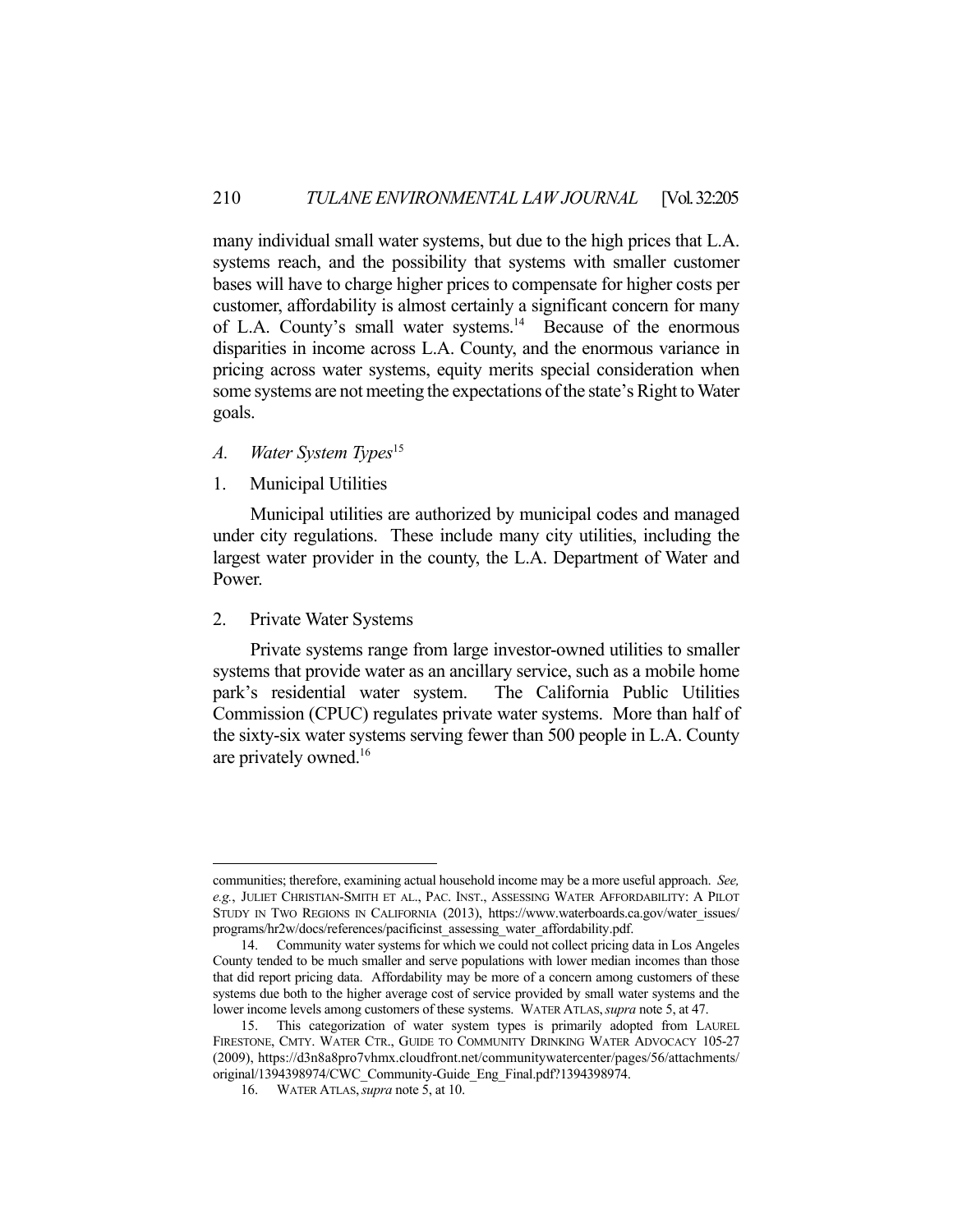many individual small water systems, but due to the high prices that L.A. systems reach, and the possibility that systems with smaller customer bases will have to charge higher prices to compensate for higher costs per customer, affordability is almost certainly a significant concern for many of L.A. County's small water systems.<sup>14</sup> Because of the enormous disparities in income across L.A. County, and the enormous variance in pricing across water systems, equity merits special consideration when some systems are not meeting the expectations of the state's Right to Water goals.

- *A. Water System Types*<sup>15</sup>
- 1. Municipal Utilities

 Municipal utilities are authorized by municipal codes and managed under city regulations. These include many city utilities, including the largest water provider in the county, the L.A. Department of Water and Power.

#### 2. Private Water Systems

1

 Private systems range from large investor-owned utilities to smaller systems that provide water as an ancillary service, such as a mobile home park's residential water system. The California Public Utilities Commission (CPUC) regulates private water systems. More than half of the sixty-six water systems serving fewer than 500 people in L.A. County are privately owned.16

communities; therefore, examining actual household income may be a more useful approach. *See, e.g.*, JULIET CHRISTIAN-SMITH ET AL., PAC. INST., ASSESSING WATER AFFORDABILITY: A PILOT STUDY IN TWO REGIONS IN CALIFORNIA (2013), https://www.waterboards.ca.gov/water\_issues/ programs/hr2w/docs/references/pacificinst\_assessing\_water\_affordability.pdf.

 <sup>14.</sup> Community water systems for which we could not collect pricing data in Los Angeles County tended to be much smaller and serve populations with lower median incomes than those that did report pricing data. Affordability may be more of a concern among customers of these systems due both to the higher average cost of service provided by small water systems and the lower income levels among customers of these systems. WATER ATLAS,*supra* note 5, at 47.

 <sup>15.</sup> This categorization of water system types is primarily adopted from LAUREL FIRESTONE, CMTY. WATER CTR., GUIDE TO COMMUNITY DRINKING WATER ADVOCACY 105-27 (2009), https://d3n8a8pro7vhmx.cloudfront.net/communitywatercenter/pages/56/attachments/ original/1394398974/CWC\_Community-Guide\_Eng\_Final.pdf?1394398974.

 <sup>16.</sup> WATER ATLAS,*supra* note 5, at 10.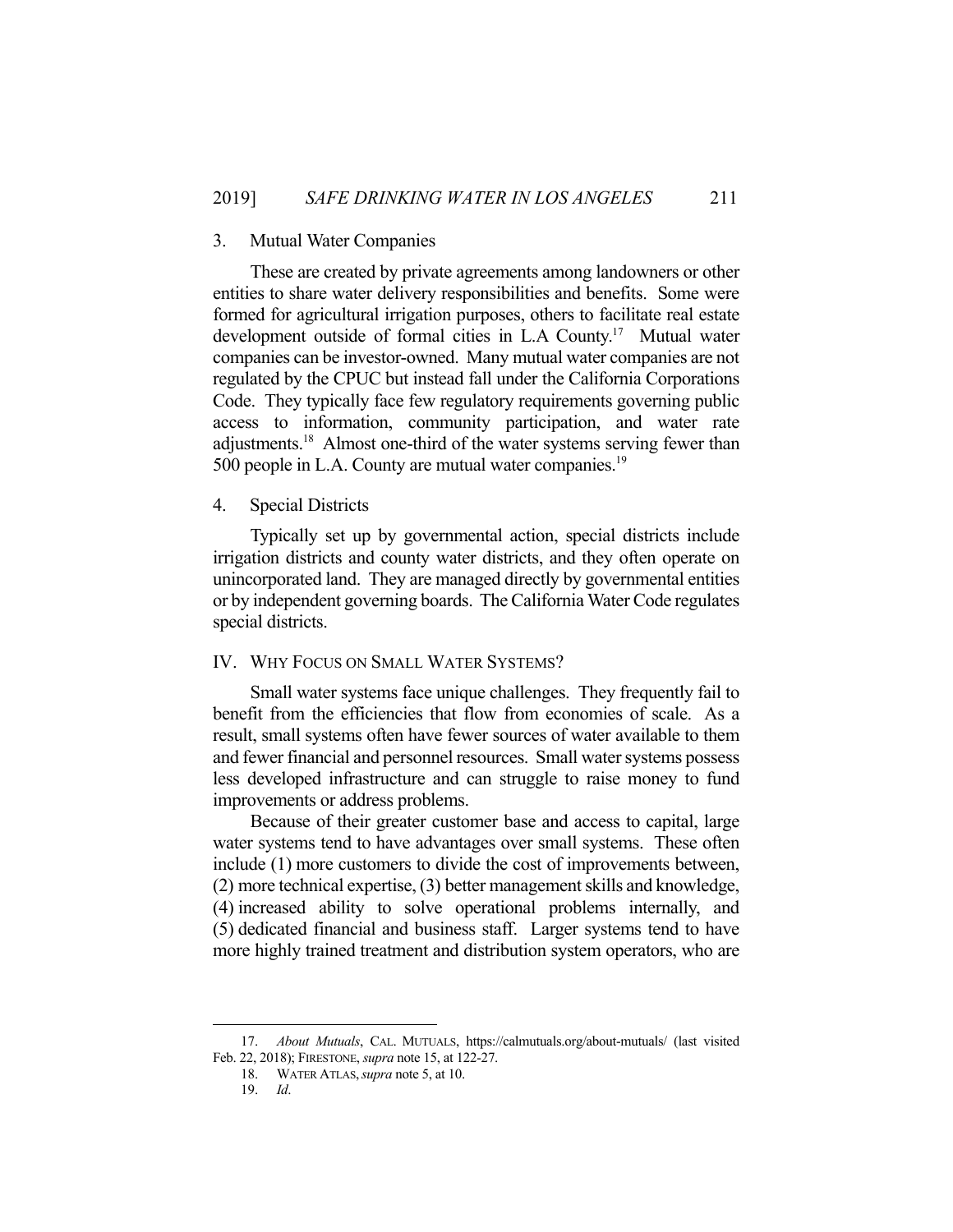#### 3. Mutual Water Companies

 These are created by private agreements among landowners or other entities to share water delivery responsibilities and benefits. Some were formed for agricultural irrigation purposes, others to facilitate real estate development outside of formal cities in L.A County.<sup>17</sup> Mutual water companies can be investor-owned. Many mutual water companies are not regulated by the CPUC but instead fall under the California Corporations Code. They typically face few regulatory requirements governing public access to information, community participation, and water rate adjustments.18 Almost one-third of the water systems serving fewer than 500 people in L.A. County are mutual water companies.<sup>19</sup>

#### 4. Special Districts

 Typically set up by governmental action, special districts include irrigation districts and county water districts, and they often operate on unincorporated land. They are managed directly by governmental entities or by independent governing boards. The California Water Code regulates special districts.

## IV. WHY FOCUS ON SMALL WATER SYSTEMS?

Small water systems face unique challenges. They frequently fail to benefit from the efficiencies that flow from economies of scale. As a result, small systems often have fewer sources of water available to them and fewer financial and personnel resources. Small water systems possess less developed infrastructure and can struggle to raise money to fund improvements or address problems.

 Because of their greater customer base and access to capital, large water systems tend to have advantages over small systems. These often include (1) more customers to divide the cost of improvements between, (2) more technical expertise, (3) better management skills and knowledge, (4) increased ability to solve operational problems internally, and (5) dedicated financial and business staff. Larger systems tend to have more highly trained treatment and distribution system operators, who are

 <sup>17.</sup> *About Mutuals*, CAL. MUTUALS, https://calmutuals.org/about-mutuals/ (last visited Feb. 22, 2018); FIRESTONE, *supra* note 15, at 122-27.

 <sup>18.</sup> WATER ATLAS,*supra* note 5, at 10.

 <sup>19.</sup> *Id*.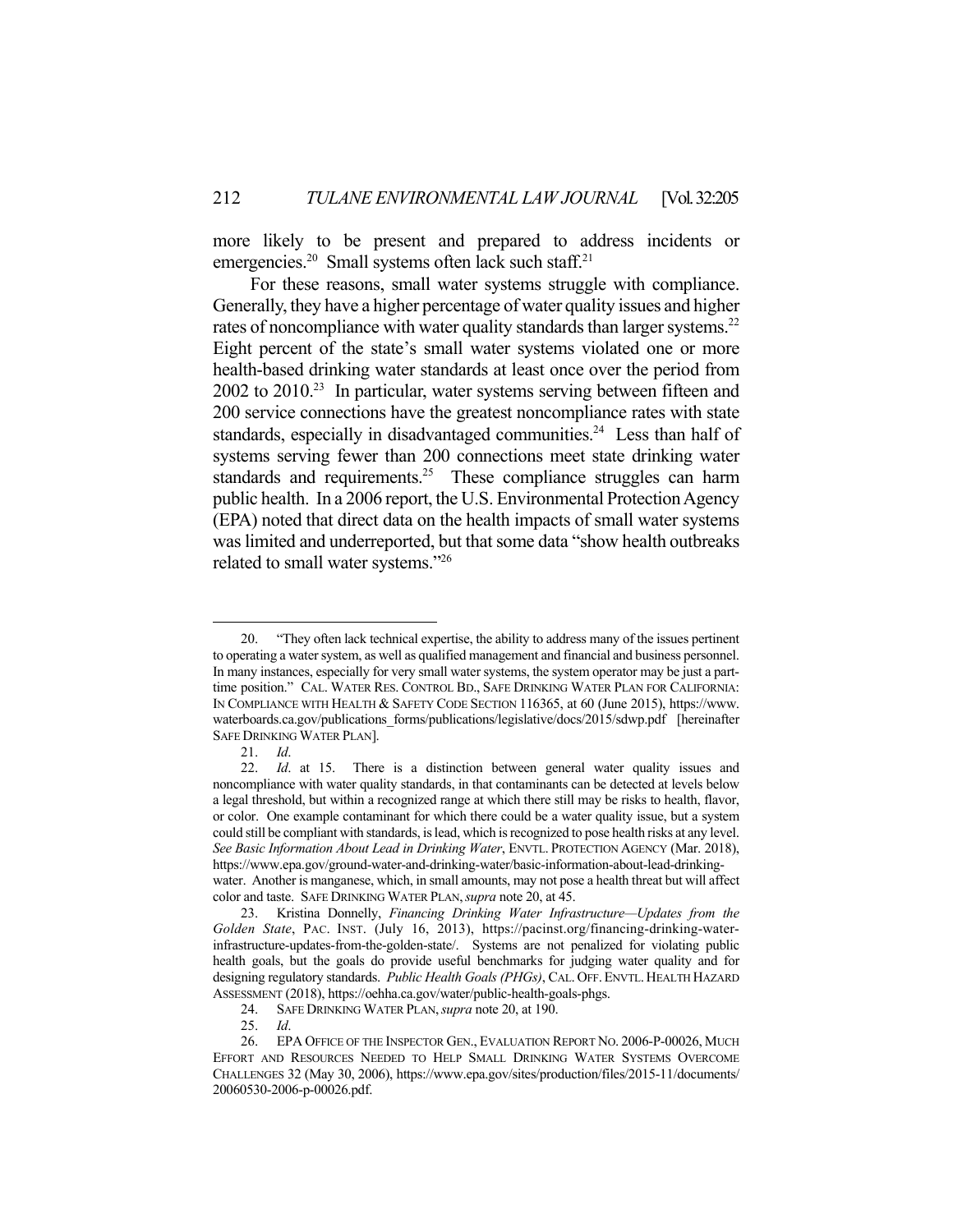more likely to be present and prepared to address incidents or emergencies.<sup>20</sup> Small systems often lack such staff.<sup>21</sup>

 For these reasons, small water systems struggle with compliance. Generally, they have a higher percentage of water quality issues and higher rates of noncompliance with water quality standards than larger systems.<sup>22</sup> Eight percent of the state's small water systems violated one or more health-based drinking water standards at least once over the period from  $2002$  to  $2010<sup>23</sup>$  In particular, water systems serving between fifteen and 200 service connections have the greatest noncompliance rates with state standards, especially in disadvantaged communities.<sup>24</sup> Less than half of systems serving fewer than 200 connections meet state drinking water standards and requirements.<sup>25</sup> These compliance struggles can harm public health. In a 2006 report, the U.S. Environmental Protection Agency (EPA) noted that direct data on the health impacts of small water systems was limited and underreported, but that some data "show health outbreaks related to small water systems."26

 <sup>20. &</sup>quot;They often lack technical expertise, the ability to address many of the issues pertinent to operating a water system, as well as qualified management and financial and business personnel. In many instances, especially for very small water systems, the system operator may be just a parttime position." CAL. WATER RES. CONTROL BD., SAFE DRINKING WATER PLAN FOR CALIFORNIA: IN COMPLIANCE WITH HEALTH & SAFETY CODE SECTION 116365, at 60 (June 2015), https://www. waterboards.ca.gov/publications forms/publications/legislative/docs/2015/sdwp.pdf [hereinafter SAFE DRINKING WATER PLAN].

 <sup>21.</sup> *Id*.

 <sup>22.</sup> *Id*. at 15. There is a distinction between general water quality issues and noncompliance with water quality standards, in that contaminants can be detected at levels below a legal threshold, but within a recognized range at which there still may be risks to health, flavor, or color. One example contaminant for which there could be a water quality issue, but a system could still be compliant with standards, is lead, which is recognized to pose health risks at any level. *See Basic Information About Lead in Drinking Water*, ENVTL. PROTECTION AGENCY (Mar. 2018), https://www.epa.gov/ground-water-and-drinking-water/basic-information-about-lead-drinkingwater. Another is manganese, which, in small amounts, may not pose a health threat but will affect color and taste. SAFE DRINKING WATER PLAN,*supra* note 20, at 45.

 <sup>23.</sup> Kristina Donnelly, *Financing Drinking Water Infrastructure—Updates from the Golden State*, PAC. INST. (July 16, 2013), https://pacinst.org/financing-drinking-waterinfrastructure-updates-from-the-golden-state/. Systems are not penalized for violating public health goals, but the goals do provide useful benchmarks for judging water quality and for designing regulatory standards. *Public Health Goals (PHGs)*, CAL. OFF.ENVTL. HEALTH HAZARD ASSESSMENT (2018), https://oehha.ca.gov/water/public-health-goals-phgs.

 <sup>24.</sup> SAFE DRINKING WATER PLAN,*supra* note 20, at 190.

 <sup>25.</sup> *Id*.

 <sup>26.</sup> EPA OFFICE OF THE INSPECTOR GEN., EVALUATION REPORT NO. 2006-P-00026, MUCH EFFORT AND RESOURCES NEEDED TO HELP SMALL DRINKING WATER SYSTEMS OVERCOME CHALLENGES 32 (May 30, 2006), https://www.epa.gov/sites/production/files/2015-11/documents/ 20060530-2006-p-00026.pdf.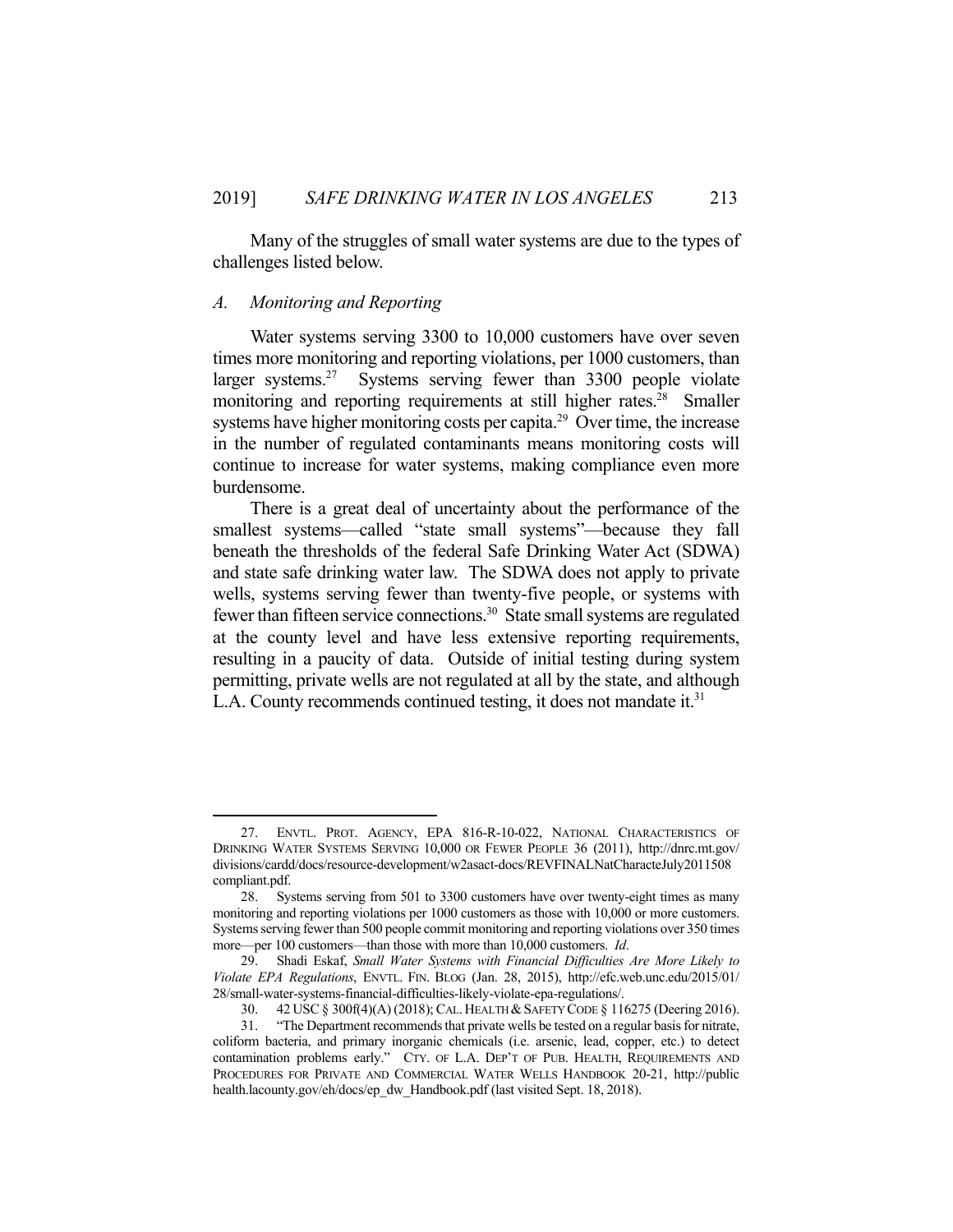Many of the struggles of small water systems are due to the types of challenges listed below.

#### *A. Monitoring and Reporting*

1

 Water systems serving 3300 to 10,000 customers have over seven times more monitoring and reporting violations, per 1000 customers, than larger systems.<sup>27</sup> Systems serving fewer than 3300 people violate monitoring and reporting requirements at still higher rates.<sup>28</sup> Smaller systems have higher monitoring costs per capita.<sup>29</sup> Over time, the increase in the number of regulated contaminants means monitoring costs will continue to increase for water systems, making compliance even more burdensome.

 There is a great deal of uncertainty about the performance of the smallest systems—called "state small systems"—because they fall beneath the thresholds of the federal Safe Drinking Water Act (SDWA) and state safe drinking water law. The SDWA does not apply to private wells, systems serving fewer than twenty-five people, or systems with fewer than fifteen service connections.<sup>30</sup> State small systems are regulated at the county level and have less extensive reporting requirements, resulting in a paucity of data. Outside of initial testing during system permitting, private wells are not regulated at all by the state, and although L.A. County recommends continued testing, it does not mandate it.<sup>31</sup>

 <sup>27.</sup> ENVTL. PROT. AGENCY, EPA 816-R-10-022, NATIONAL CHARACTERISTICS OF DRINKING WATER SYSTEMS SERVING 10,000 OR FEWER PEOPLE 36 (2011), http://dnrc.mt.gov/ divisions/cardd/docs/resource-development/w2asact-docs/REVFINALNatCharacteJuly2011508 compliant.pdf.

 <sup>28.</sup> Systems serving from 501 to 3300 customers have over twenty-eight times as many monitoring and reporting violations per 1000 customers as those with 10,000 or more customers. Systems serving fewer than 500 people commit monitoring and reporting violations over 350 times more—per 100 customers—than those with more than 10,000 customers. *Id*.

 <sup>29.</sup> Shadi Eskaf, *Small Water Systems with Financial Difficulties Are More Likely to Violate EPA Regulations*, ENVTL. FIN. BLOG (Jan. 28, 2015), http://efc.web.unc.edu/2015/01/ 28/small-water-systems-financial-difficulties-likely-violate-epa-regulations/.

<sup>30. 42</sup> USC § 300f(4)(A) (2018); CAL. HEALTH & SAFETY CODE § 116275 (Deering 2016).

 <sup>31. &</sup>quot;The Department recommends that private wells be tested on a regular basis for nitrate, coliform bacteria, and primary inorganic chemicals (i.e. arsenic, lead, copper, etc.) to detect contamination problems early." CTY. OF L.A. DEP'T OF PUB. HEALTH, REQUIREMENTS AND PROCEDURES FOR PRIVATE AND COMMERCIAL WATER WELLS HANDBOOK 20-21, http://public health.lacounty.gov/eh/docs/ep\_dw\_Handbook.pdf (last visited Sept. 18, 2018).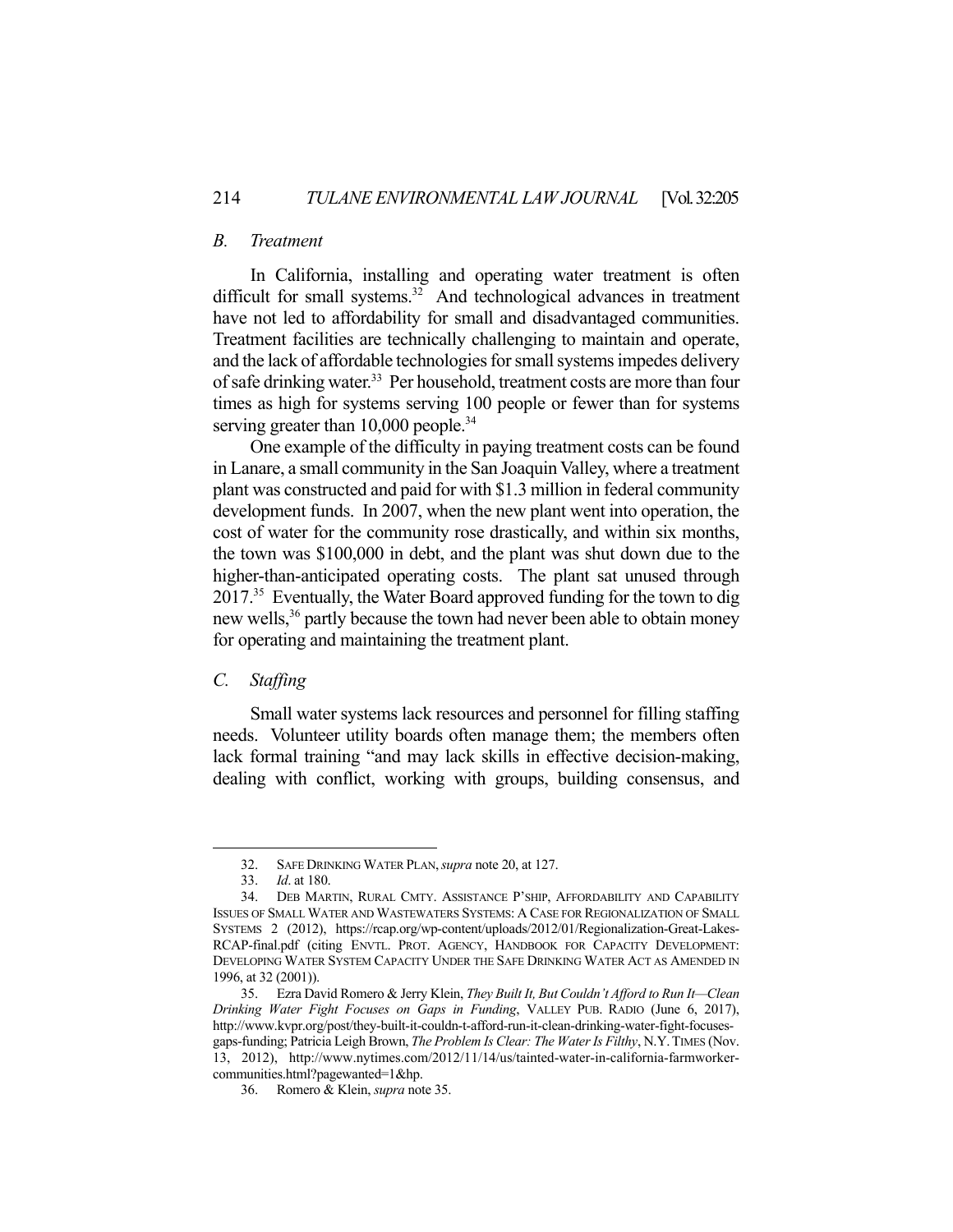#### *B. Treatment*

 In California, installing and operating water treatment is often difficult for small systems.<sup>32</sup> And technological advances in treatment have not led to affordability for small and disadvantaged communities. Treatment facilities are technically challenging to maintain and operate, and the lack of affordable technologies for small systems impedes delivery of safe drinking water.<sup>33</sup> Per household, treatment costs are more than four times as high for systems serving 100 people or fewer than for systems serving greater than 10,000 people.<sup>34</sup>

 One example of the difficulty in paying treatment costs can be found in Lanare, a small community in the San Joaquin Valley, where a treatment plant was constructed and paid for with \$1.3 million in federal community development funds. In 2007, when the new plant went into operation, the cost of water for the community rose drastically, and within six months, the town was \$100,000 in debt, and the plant was shut down due to the higher-than-anticipated operating costs. The plant sat unused through 2017.35 Eventually, the Water Board approved funding for the town to dig new wells,<sup>36</sup> partly because the town had never been able to obtain money for operating and maintaining the treatment plant.

## *C. Staffing*

<u>.</u>

 Small water systems lack resources and personnel for filling staffing needs. Volunteer utility boards often manage them; the members often lack formal training "and may lack skills in effective decision-making, dealing with conflict, working with groups, building consensus, and

 <sup>32.</sup> SAFE DRINKING WATER PLAN,*supra* note 20, at 127.

 <sup>33.</sup> *Id*. at 180.

 <sup>34.</sup> DEB MARTIN, RURAL CMTY. ASSISTANCE P'SHIP, AFFORDABILITY AND CAPABILITY ISSUES OF SMALL WATER AND WASTEWATERS SYSTEMS: A CASE FOR REGIONALIZATION OF SMALL SYSTEMS 2 (2012), https://rcap.org/wp-content/uploads/2012/01/Regionalization-Great-Lakes-RCAP-final.pdf (citing ENVTL. PROT. AGENCY, HANDBOOK FOR CAPACITY DEVELOPMENT: DEVELOPING WATER SYSTEM CAPACITY UNDER THE SAFE DRINKING WATER ACT AS AMENDED IN 1996, at 32 (2001)).

 <sup>35.</sup> Ezra David Romero & Jerry Klein, *They Built It, But Couldn't Afford to Run It—Clean Drinking Water Fight Focuses on Gaps in Funding*, VALLEY PUB. RADIO (June 6, 2017), http://www.kvpr.org/post/they-built-it-couldn-t-afford-run-it-clean-drinking-water-fight-focusesgaps-funding; Patricia Leigh Brown, *The Problem Is Clear: The Water Is Filthy*, N.Y.TIMES (Nov. 13, 2012), http://www.nytimes.com/2012/11/14/us/tainted-water-in-california-farmworkercommunities.html?pagewanted=1&hp.

 <sup>36.</sup> Romero & Klein, *supra* note 35.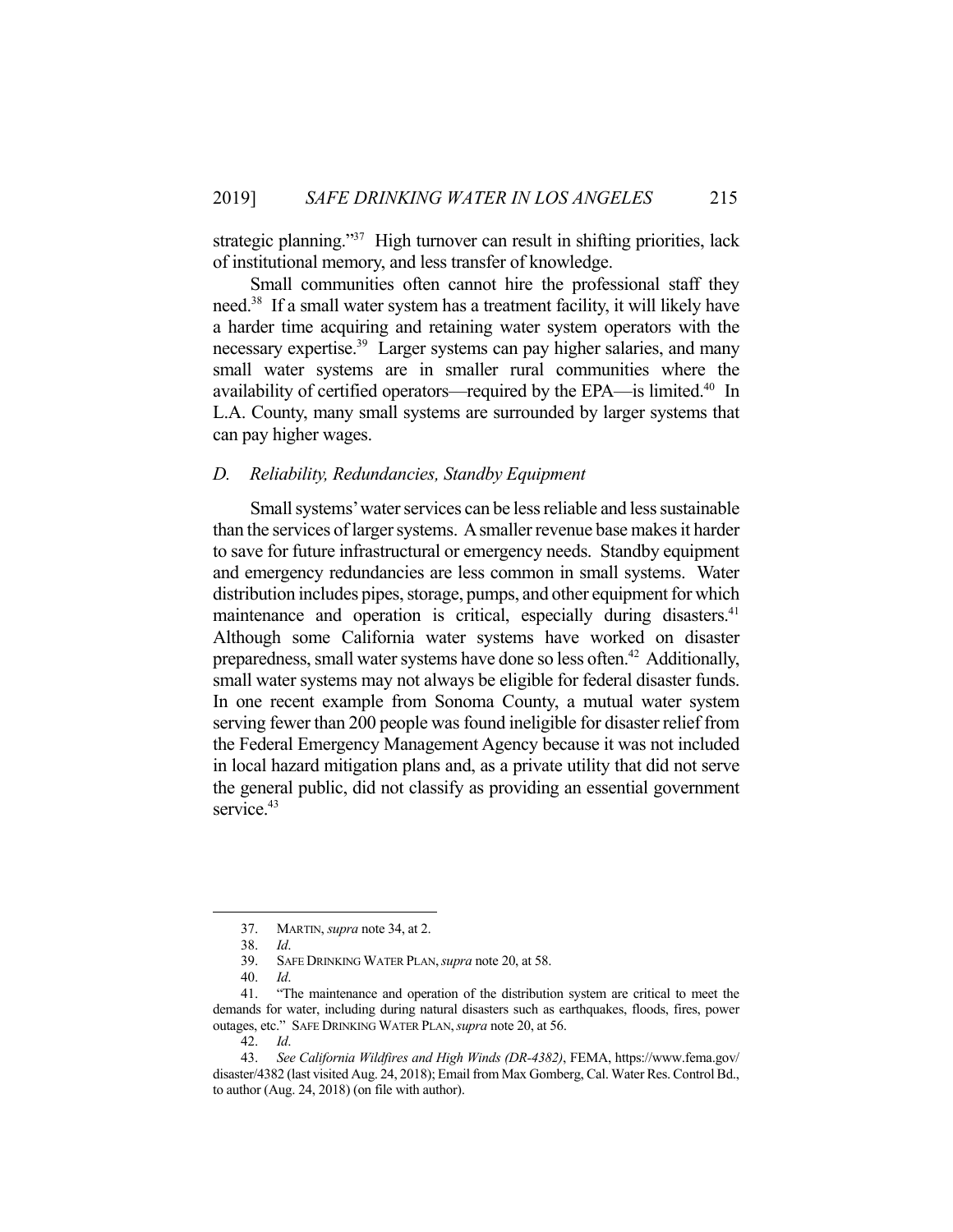strategic planning."<sup>37</sup> High turnover can result in shifting priorities, lack of institutional memory, and less transfer of knowledge.

 Small communities often cannot hire the professional staff they need.38 If a small water system has a treatment facility, it will likely have a harder time acquiring and retaining water system operators with the necessary expertise.<sup>39</sup> Larger systems can pay higher salaries, and many small water systems are in smaller rural communities where the availability of certified operators—required by the EPA—is limited.40 In L.A. County, many small systems are surrounded by larger systems that can pay higher wages.

#### *D. Reliability, Redundancies, Standby Equipment*

 Small systems' water services can be less reliable and less sustainable than the services of larger systems. A smaller revenue base makes it harder to save for future infrastructural or emergency needs. Standby equipment and emergency redundancies are less common in small systems. Water distribution includes pipes, storage, pumps, and other equipment for which maintenance and operation is critical, especially during disasters.<sup>41</sup> Although some California water systems have worked on disaster preparedness, small water systems have done so less often.<sup>42</sup> Additionally, small water systems may not always be eligible for federal disaster funds. In one recent example from Sonoma County, a mutual water system serving fewer than 200 people was found ineligible for disaster relief from the Federal Emergency Management Agency because it was not included in local hazard mitigation plans and, as a private utility that did not serve the general public, did not classify as providing an essential government service.<sup>43</sup>

 <sup>37.</sup> MARTIN, *supra* note 34, at 2.

 <sup>38.</sup> *Id*.

 <sup>39.</sup> SAFE DRINKING WATER PLAN,*supra* note 20, at 58.

 <sup>40.</sup> *Id*.

 <sup>41. &</sup>quot;The maintenance and operation of the distribution system are critical to meet the demands for water, including during natural disasters such as earthquakes, floods, fires, power outages, etc." SAFE DRINKING WATER PLAN,*supra* note 20, at 56.

 <sup>42.</sup> *Id*.

 <sup>43.</sup> *See California Wildfires and High Winds (DR-4382)*, FEMA, https://www.fema.gov/ disaster/4382 (last visited Aug. 24, 2018); Email from Max Gomberg, Cal. Water Res. Control Bd., to author (Aug. 24, 2018) (on file with author).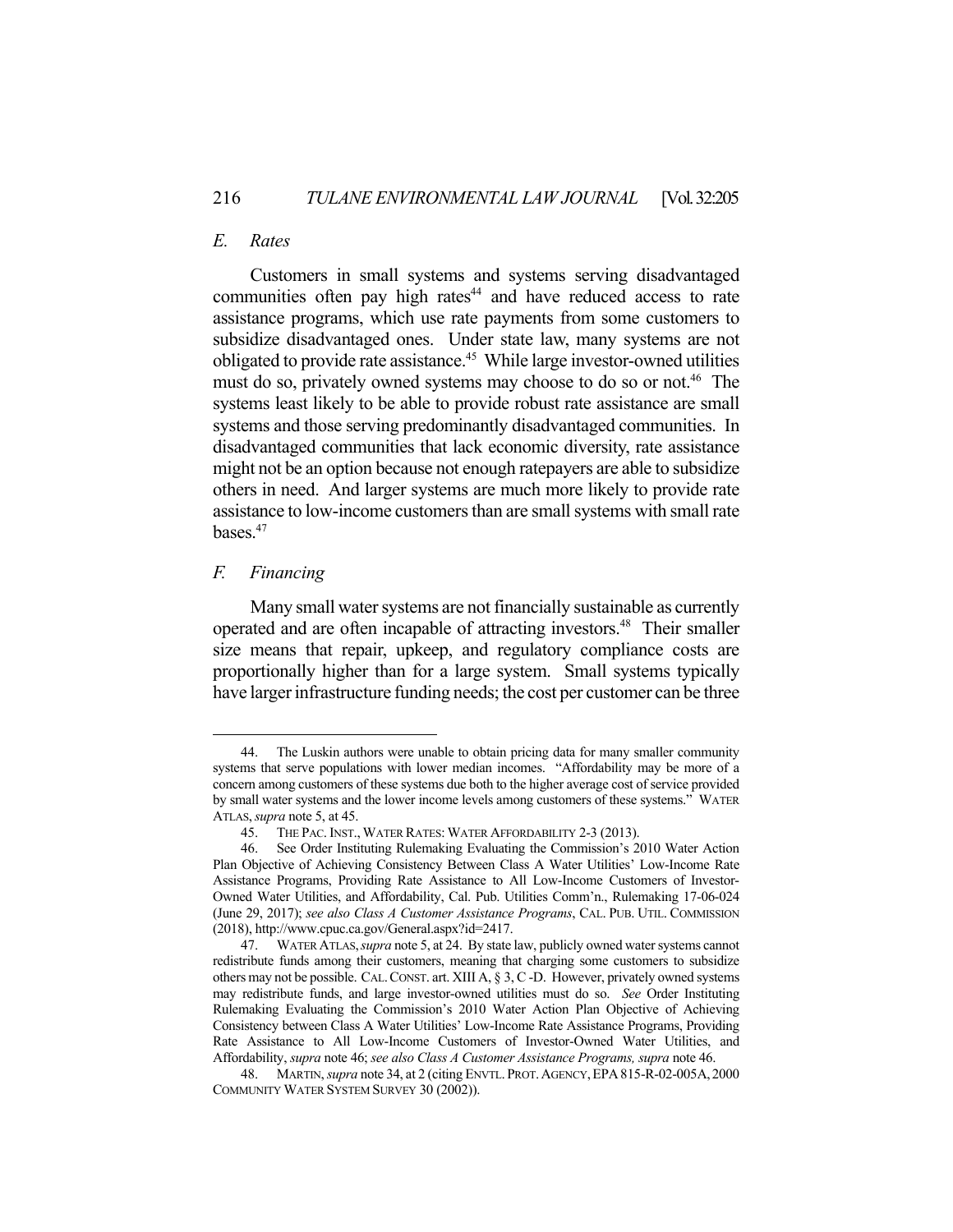## *E. Rates*

 Customers in small systems and systems serving disadvantaged communities often pay high rates $44$  and have reduced access to rate assistance programs, which use rate payments from some customers to subsidize disadvantaged ones. Under state law, many systems are not obligated to provide rate assistance.<sup>45</sup> While large investor-owned utilities must do so, privately owned systems may choose to do so or not.<sup>46</sup> The systems least likely to be able to provide robust rate assistance are small systems and those serving predominantly disadvantaged communities. In disadvantaged communities that lack economic diversity, rate assistance might not be an option because not enough ratepayers are able to subsidize others in need. And larger systems are much more likely to provide rate assistance to low-income customers than are small systems with small rate bases.<sup>47</sup>

## *F. Financing*

1

 Many small water systems are not financially sustainable as currently operated and are often incapable of attracting investors.48 Their smaller size means that repair, upkeep, and regulatory compliance costs are proportionally higher than for a large system. Small systems typically have larger infrastructure funding needs; the cost per customer can be three

 <sup>44.</sup> The Luskin authors were unable to obtain pricing data for many smaller community systems that serve populations with lower median incomes. "Affordability may be more of a concern among customers of these systems due both to the higher average cost of service provided by small water systems and the lower income levels among customers of these systems." WATER ATLAS,*supra* note 5, at 45.

 <sup>45.</sup> THE PAC.INST., WATER RATES: WATER AFFORDABILITY 2-3 (2013).

 <sup>46.</sup> See Order Instituting Rulemaking Evaluating the Commission's 2010 Water Action Plan Objective of Achieving Consistency Between Class A Water Utilities' Low-Income Rate Assistance Programs, Providing Rate Assistance to All Low-Income Customers of Investor-Owned Water Utilities, and Affordability, Cal. Pub. Utilities Comm'n., Rulemaking 17-06-024 (June 29, 2017); *see also Class A Customer Assistance Programs*, CAL. PUB. UTIL. COMMISSION (2018), http://www.cpuc.ca.gov/General.aspx?id=2417.

 <sup>47.</sup> WATER ATLAS,*supra* note 5, at 24. By state law, publicly owned water systems cannot redistribute funds among their customers, meaning that charging some customers to subsidize others may not be possible. CAL.CONST. art. XIII A, § 3, C -D. However, privately owned systems may redistribute funds, and large investor-owned utilities must do so. *See* Order Instituting Rulemaking Evaluating the Commission's 2010 Water Action Plan Objective of Achieving Consistency between Class A Water Utilities' Low-Income Rate Assistance Programs, Providing Rate Assistance to All Low-Income Customers of Investor-Owned Water Utilities, and Affordability, *supra* note 46; *see also Class A Customer Assistance Programs, supra* note 46.

 <sup>48.</sup> MARTIN, *supra* note 34, at 2 (citing ENVTL.PROT.AGENCY,EPA815-R-02-005A, 2000 COMMUNITY WATER SYSTEM SURVEY 30 (2002)).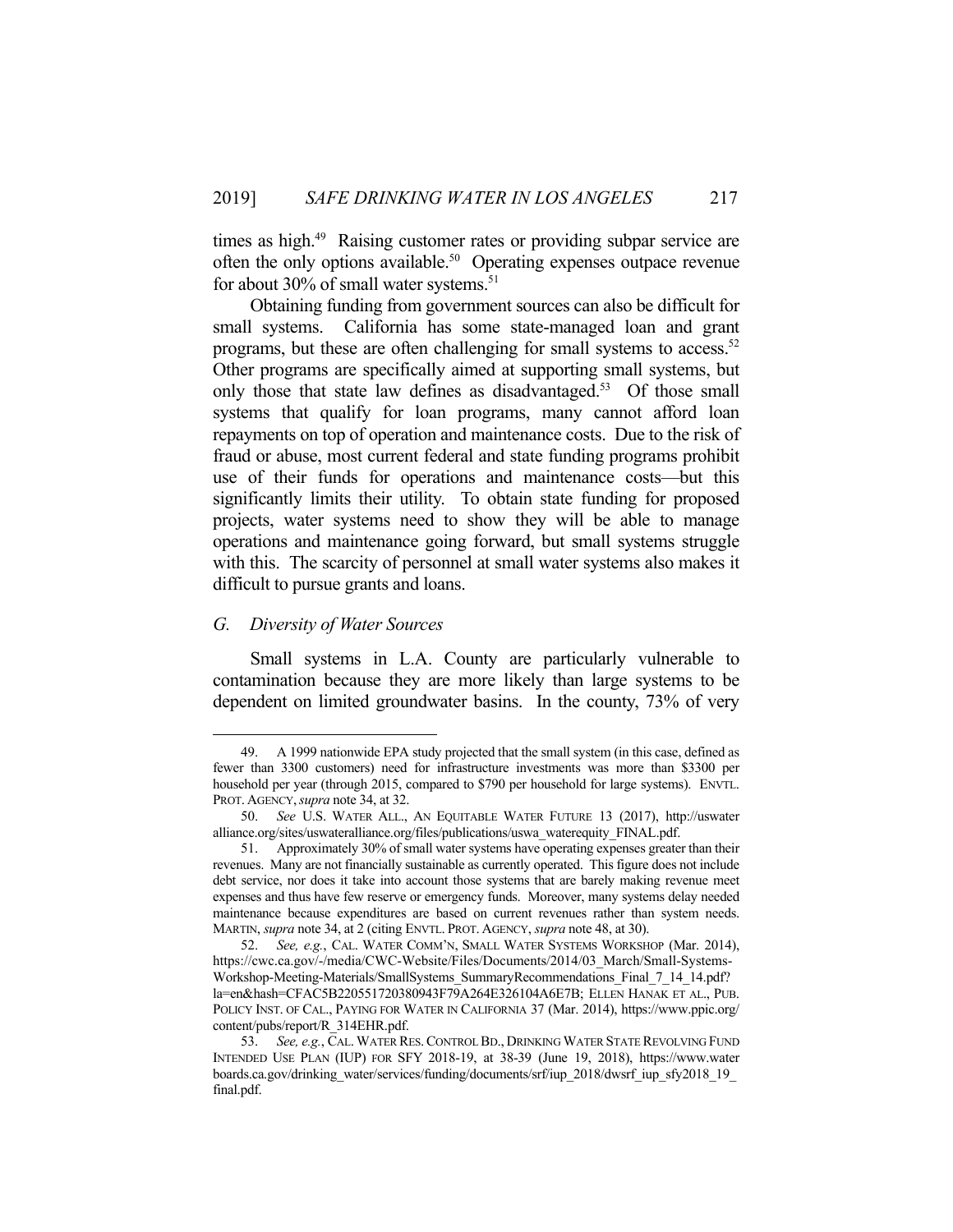times as high.<sup>49</sup> Raising customer rates or providing subpar service are often the only options available.<sup>50</sup> Operating expenses outpace revenue for about 30% of small water systems.<sup>51</sup>

 Obtaining funding from government sources can also be difficult for small systems. California has some state-managed loan and grant programs, but these are often challenging for small systems to access.<sup>52</sup> Other programs are specifically aimed at supporting small systems, but only those that state law defines as disadvantaged.<sup>53</sup> Of those small systems that qualify for loan programs, many cannot afford loan repayments on top of operation and maintenance costs. Due to the risk of fraud or abuse, most current federal and state funding programs prohibit use of their funds for operations and maintenance costs—but this significantly limits their utility. To obtain state funding for proposed projects, water systems need to show they will be able to manage operations and maintenance going forward, but small systems struggle with this. The scarcity of personnel at small water systems also makes it difficult to pursue grants and loans.

## *G. Diversity of Water Sources*

1

 Small systems in L.A. County are particularly vulnerable to contamination because they are more likely than large systems to be dependent on limited groundwater basins. In the county, 73% of very

 <sup>49.</sup> A 1999 nationwide EPA study projected that the small system (in this case, defined as fewer than 3300 customers) need for infrastructure investments was more than \$3300 per household per year (through 2015, compared to \$790 per household for large systems). ENVTL. PROT. AGENCY,*supra* note 34, at 32.

 <sup>50.</sup> *See* U.S. WATER ALL., AN EQUITABLE WATER FUTURE 13 (2017), http://uswater alliance.org/sites/uswateralliance.org/files/publications/uswa\_waterequity\_FINAL.pdf.

 <sup>51.</sup> Approximately 30% of small water systems have operating expenses greater than their revenues. Many are not financially sustainable as currently operated. This figure does not include debt service, nor does it take into account those systems that are barely making revenue meet expenses and thus have few reserve or emergency funds. Moreover, many systems delay needed maintenance because expenditures are based on current revenues rather than system needs. MARTIN, *supra* note 34, at 2 (citing ENVTL. PROT. AGENCY, *supra* note 48, at 30).

 <sup>52.</sup> *See, e.g.*, CAL. WATER COMM'N, SMALL WATER SYSTEMS WORKSHOP (Mar. 2014), https://cwc.ca.gov/-/media/CWC-Website/Files/Documents/2014/03\_March/Small-Systems-Workshop-Meeting-Materials/SmallSystems\_SummaryRecommendations\_Final\_7\_14\_14.pdf? la=en&hash=CFAC5B220551720380943F79A264E326104A6E7B; ELLEN HANAK ET AL., PUB. POLICY INST. OF CAL., PAYING FOR WATER IN CALIFORNIA 37 (Mar. 2014), https://www.ppic.org/ content/pubs/report/R\_314EHR.pdf.

 <sup>53.</sup> *See, e.g.*, CAL. WATER RES.CONTROL BD., DRINKING WATER STATE REVOLVING FUND INTENDED USE PLAN (IUP) FOR SFY 2018-19, at 38-39 (June 19, 2018), https://www.water boards.ca.gov/drinking\_water/services/funding/documents/srf/iup\_2018/dwsrf\_iup\_sfy2018\_19\_ final.pdf.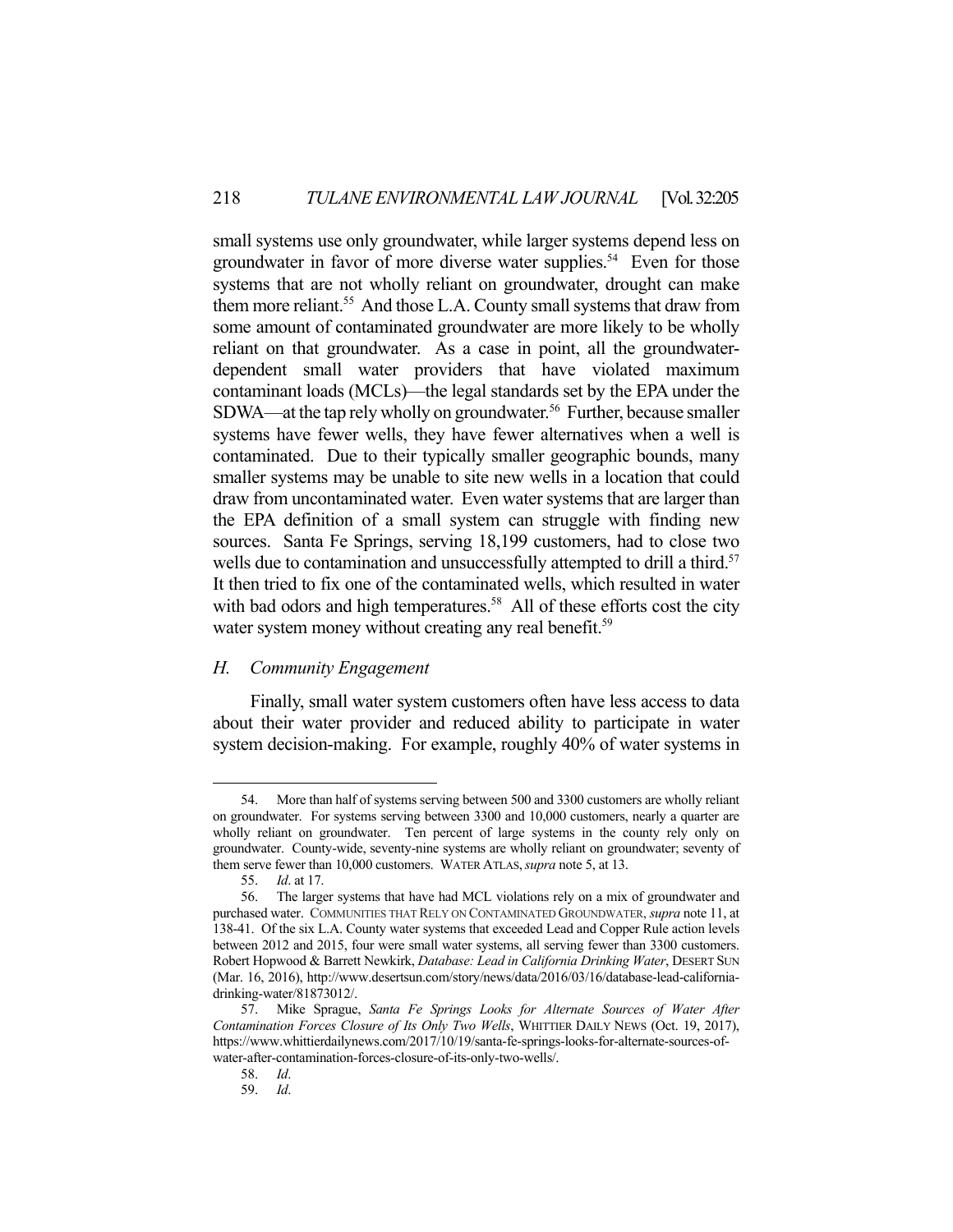small systems use only groundwater, while larger systems depend less on groundwater in favor of more diverse water supplies.<sup>54</sup> Even for those systems that are not wholly reliant on groundwater, drought can make them more reliant.<sup>55</sup> And those L.A. County small systems that draw from some amount of contaminated groundwater are more likely to be wholly reliant on that groundwater. As a case in point, all the groundwaterdependent small water providers that have violated maximum contaminant loads (MCLs)—the legal standards set by the EPA under the SDWA—at the tap rely wholly on groundwater.<sup>56</sup> Further, because smaller systems have fewer wells, they have fewer alternatives when a well is contaminated. Due to their typically smaller geographic bounds, many smaller systems may be unable to site new wells in a location that could draw from uncontaminated water. Even water systems that are larger than the EPA definition of a small system can struggle with finding new sources. Santa Fe Springs, serving 18,199 customers, had to close two wells due to contamination and unsuccessfully attempted to drill a third.<sup>57</sup> It then tried to fix one of the contaminated wells, which resulted in water with bad odors and high temperatures.<sup>58</sup> All of these efforts cost the city water system money without creating any real benefit.<sup>59</sup>

## *H. Community Engagement*

 Finally, small water system customers often have less access to data about their water provider and reduced ability to participate in water system decision-making. For example, roughly 40% of water systems in

 <sup>54.</sup> More than half of systems serving between 500 and 3300 customers are wholly reliant on groundwater. For systems serving between 3300 and 10,000 customers, nearly a quarter are wholly reliant on groundwater. Ten percent of large systems in the county rely only on groundwater. County-wide, seventy-nine systems are wholly reliant on groundwater; seventy of them serve fewer than 10,000 customers. WATER ATLAS,*supra* note 5, at 13.

 <sup>55.</sup> *Id*. at 17.

 <sup>56.</sup> The larger systems that have had MCL violations rely on a mix of groundwater and purchased water. COMMUNITIES THAT RELY ON CONTAMINATED GROUNDWATER, *supra* note 11, at 138-41. Of the six L.A. County water systems that exceeded Lead and Copper Rule action levels between 2012 and 2015, four were small water systems, all serving fewer than 3300 customers. Robert Hopwood & Barrett Newkirk, *Database: Lead in California Drinking Water*, DESERT SUN (Mar. 16, 2016), http://www.desertsun.com/story/news/data/2016/03/16/database-lead-californiadrinking-water/81873012/.

 <sup>57.</sup> Mike Sprague, *Santa Fe Springs Looks for Alternate Sources of Water After Contamination Forces Closure of Its Only Two Wells*, WHITTIER DAILY NEWS (Oct. 19, 2017), https://www.whittierdailynews.com/2017/10/19/santa-fe-springs-looks-for-alternate-sources-ofwater-after-contamination-forces-closure-of-its-only-two-wells/.

 <sup>58.</sup> *Id*.

 <sup>59.</sup> *Id*.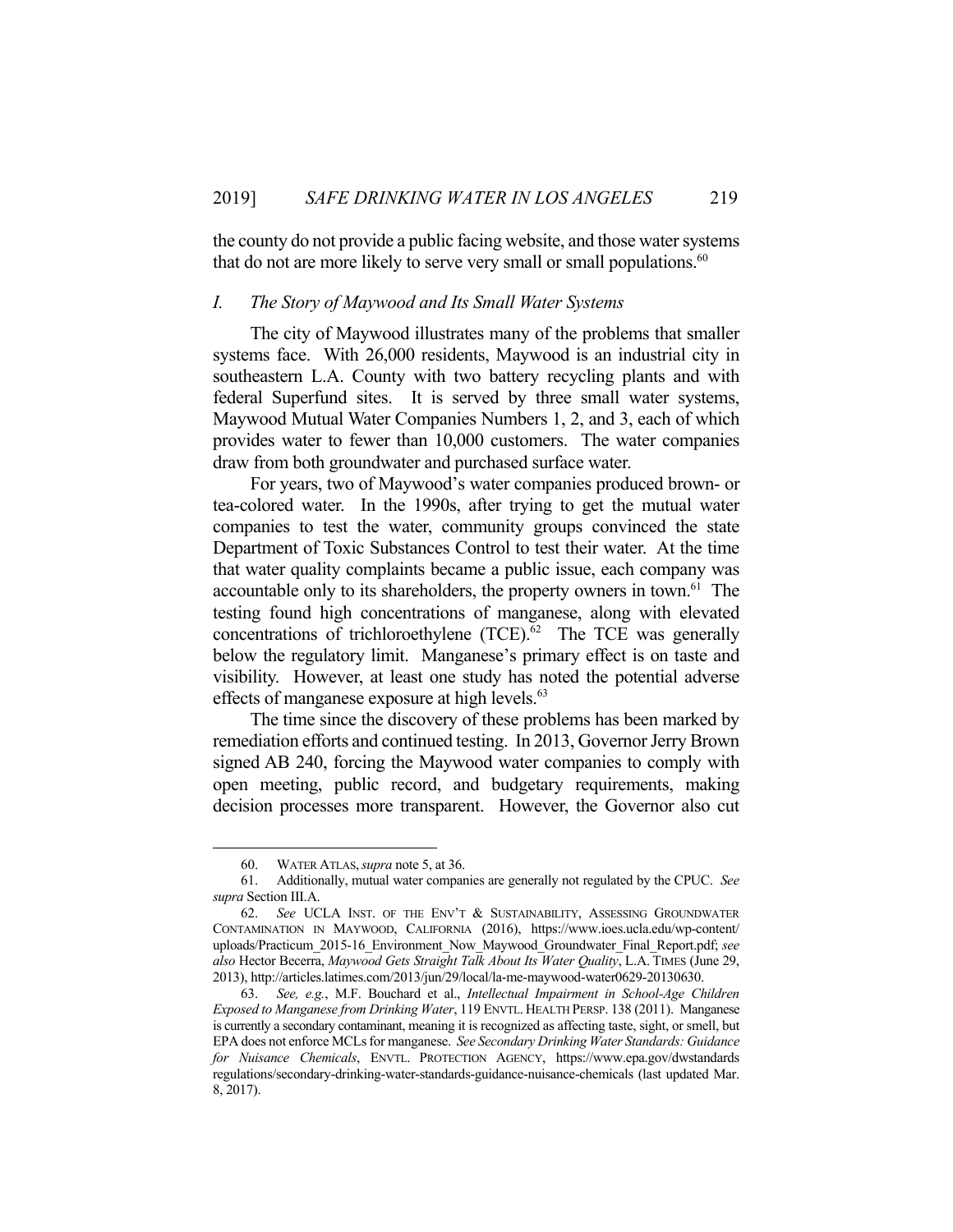the county do not provide a public facing website, and those water systems that do not are more likely to serve very small or small populations.<sup>60</sup>

#### *I. The Story of Maywood and Its Small Water Systems*

 The city of Maywood illustrates many of the problems that smaller systems face. With 26,000 residents, Maywood is an industrial city in southeastern L.A. County with two battery recycling plants and with federal Superfund sites. It is served by three small water systems, Maywood Mutual Water Companies Numbers 1, 2, and 3, each of which provides water to fewer than 10,000 customers. The water companies draw from both groundwater and purchased surface water.

 For years, two of Maywood's water companies produced brown- or tea-colored water. In the 1990s, after trying to get the mutual water companies to test the water, community groups convinced the state Department of Toxic Substances Control to test their water. At the time that water quality complaints became a public issue, each company was accountable only to its shareholders, the property owners in town.<sup>61</sup> The testing found high concentrations of manganese, along with elevated concentrations of trichloroethylene  $(TCE)^{62}$  The TCE was generally below the regulatory limit. Manganese's primary effect is on taste and visibility. However, at least one study has noted the potential adverse effects of manganese exposure at high levels.<sup>63</sup>

 The time since the discovery of these problems has been marked by remediation efforts and continued testing. In 2013, Governor Jerry Brown signed AB 240, forcing the Maywood water companies to comply with open meeting, public record, and budgetary requirements, making decision processes more transparent. However, the Governor also cut

 <sup>60.</sup> WATER ATLAS,*supra* note 5, at 36.

 <sup>61.</sup> Additionally, mutual water companies are generally not regulated by the CPUC. *See supra* Section III.A.

 <sup>62.</sup> *See* UCLA INST. OF THE ENV'T & SUSTAINABILITY, ASSESSING GROUNDWATER CONTAMINATION IN MAYWOOD, CALIFORNIA (2016), https://www.ioes.ucla.edu/wp-content/ uploads/Practicum\_2015-16\_Environment\_Now\_Maywood\_Groundwater\_Final\_Report.pdf; *see also* Hector Becerra, *Maywood Gets Straight Talk About Its Water Quality*, L.A. TIMES (June 29, 2013), http://articles.latimes.com/2013/jun/29/local/la-me-maywood-water0629-20130630.

 <sup>63.</sup> *See, e.g.*, M.F. Bouchard et al., *Intellectual Impairment in School-Age Children Exposed to Manganese from Drinking Water*, 119 ENVTL. HEALTH PERSP. 138 (2011). Manganese is currently a secondary contaminant, meaning it is recognized as affecting taste, sight, or smell, but EPA does not enforce MCLs for manganese. *See Secondary Drinking Water Standards: Guidance for Nuisance Chemicals*, ENVTL. PROTECTION AGENCY, https://www.epa.gov/dwstandards regulations/secondary-drinking-water-standards-guidance-nuisance-chemicals (last updated Mar. 8, 2017).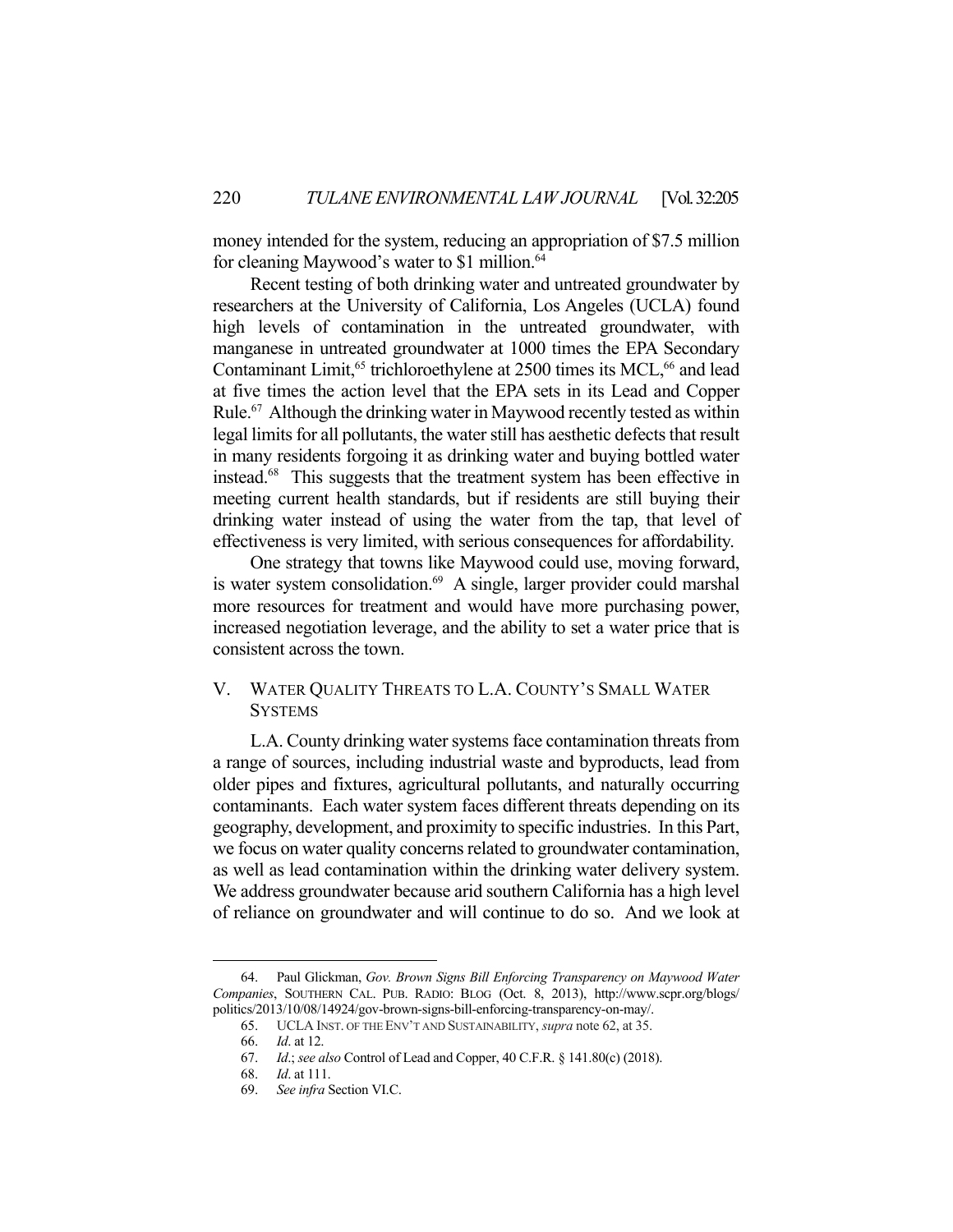money intended for the system, reducing an appropriation of \$7.5 million for cleaning Maywood's water to \$1 million.<sup>64</sup>

 Recent testing of both drinking water and untreated groundwater by researchers at the University of California, Los Angeles (UCLA) found high levels of contamination in the untreated groundwater, with manganese in untreated groundwater at 1000 times the EPA Secondary Contaminant Limit,<sup>65</sup> trichloroethylene at 2500 times its MCL,<sup>66</sup> and lead at five times the action level that the EPA sets in its Lead and Copper Rule.<sup>67</sup> Although the drinking water in Maywood recently tested as within legal limits for all pollutants, the water still has aesthetic defects that result in many residents forgoing it as drinking water and buying bottled water instead.68 This suggests that the treatment system has been effective in meeting current health standards, but if residents are still buying their drinking water instead of using the water from the tap, that level of effectiveness is very limited, with serious consequences for affordability.

 One strategy that towns like Maywood could use, moving forward, is water system consolidation.<sup>69</sup> A single, larger provider could marshal more resources for treatment and would have more purchasing power, increased negotiation leverage, and the ability to set a water price that is consistent across the town.

## V. WATER QUALITY THREATS TO L.A. COUNTY'S SMALL WATER **SYSTEMS**

L.A. County drinking water systems face contamination threats from a range of sources, including industrial waste and byproducts, lead from older pipes and fixtures, agricultural pollutants, and naturally occurring contaminants. Each water system faces different threats depending on its geography, development, and proximity to specific industries. In this Part, we focus on water quality concerns related to groundwater contamination, as well as lead contamination within the drinking water delivery system. We address groundwater because arid southern California has a high level of reliance on groundwater and will continue to do so. And we look at

 <sup>64.</sup> Paul Glickman, *Gov. Brown Signs Bill Enforcing Transparency on Maywood Water Companies*, SOUTHERN CAL. PUB. RADIO: BLOG (Oct. 8, 2013), http://www.scpr.org/blogs/ politics/2013/10/08/14924/gov-brown-signs-bill-enforcing-transparency-on-may/.

 <sup>65.</sup> UCLA INST. OF THE ENV'T AND SUSTAINABILITY, *supra* note 62, at 35.

 <sup>66.</sup> *Id*. at 12.

 <sup>67.</sup> *Id*.; *see also* Control of Lead and Copper, 40 C.F.R. § 141.80(c) (2018).

 <sup>68.</sup> *Id*. at 111.

 <sup>69.</sup> *See infra* Section VI.C.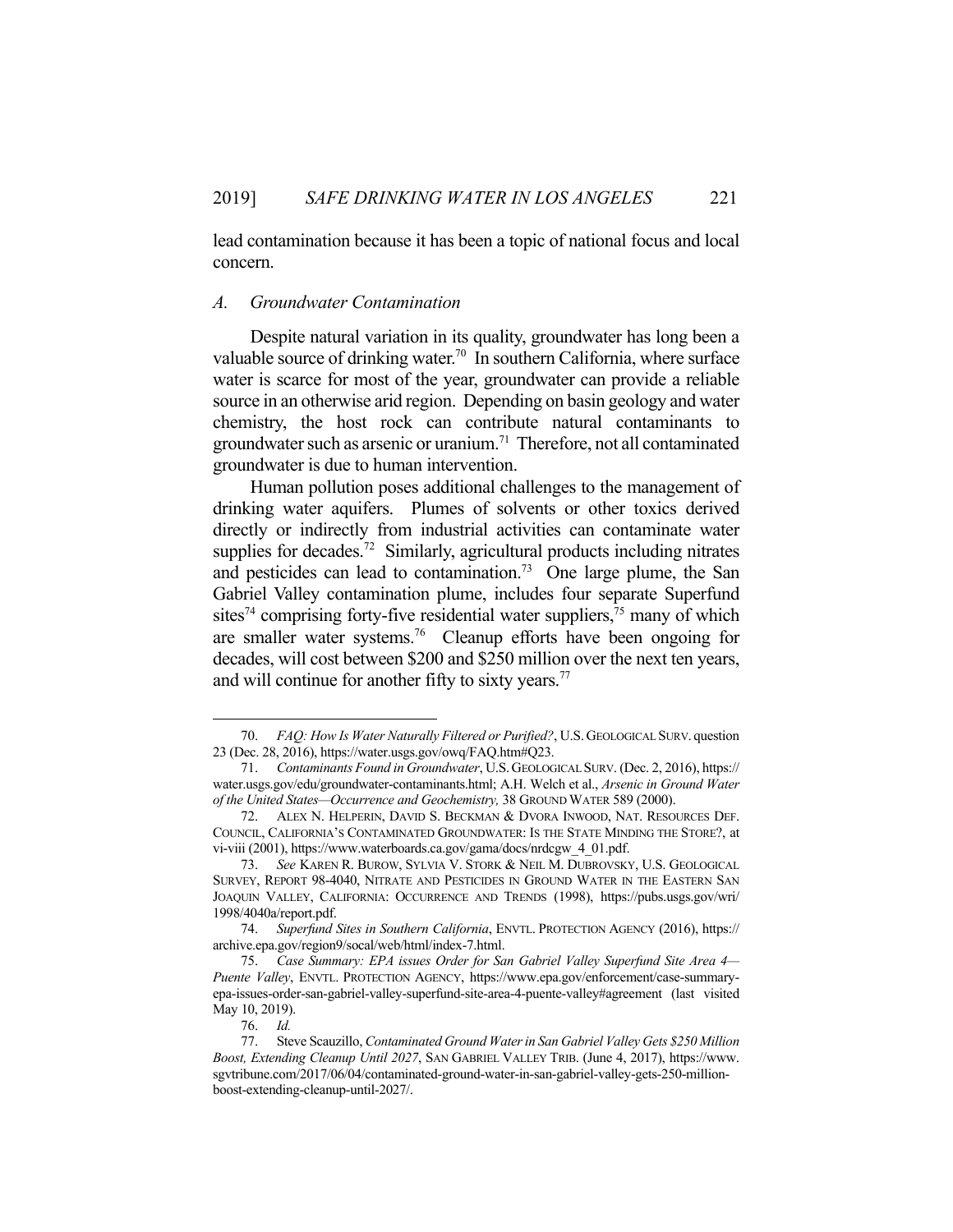lead contamination because it has been a topic of national focus and local concern.

#### *A. Groundwater Contamination*

 Despite natural variation in its quality, groundwater has long been a valuable source of drinking water.<sup>70</sup> In southern California, where surface water is scarce for most of the year, groundwater can provide a reliable source in an otherwise arid region. Depending on basin geology and water chemistry, the host rock can contribute natural contaminants to groundwater such as arsenic or uranium.<sup>71</sup> Therefore, not all contaminated groundwater is due to human intervention.

 Human pollution poses additional challenges to the management of drinking water aquifers. Plumes of solvents or other toxics derived directly or indirectly from industrial activities can contaminate water supplies for decades.<sup>72</sup> Similarly, agricultural products including nitrates and pesticides can lead to contamination.<sup>73</sup> One large plume, the San Gabriel Valley contamination plume, includes four separate Superfund sites<sup>74</sup> comprising forty-five residential water suppliers,<sup>75</sup> many of which are smaller water systems.76 Cleanup efforts have been ongoing for decades, will cost between \$200 and \$250 million over the next ten years, and will continue for another fifty to sixty years.<sup>77</sup>

 <sup>70.</sup> *FAQ: How Is Water Naturally Filtered or Purified?*, U.S.GEOLOGICAL SURV. question 23 (Dec. 28, 2016), https://water.usgs.gov/owq/FAQ.htm#Q23.

 <sup>71.</sup> *Contaminants Found in Groundwater*, U.S.GEOLOGICAL SURV. (Dec. 2, 2016), https:// water.usgs.gov/edu/groundwater-contaminants.html; A.H. Welch et al., *Arsenic in Ground Water of the United States—Occurrence and Geochemistry,* 38 GROUND WATER 589 (2000).

 <sup>72.</sup> ALEX N. HELPERIN, DAVID S. BECKMAN & DVORA INWOOD, NAT. RESOURCES DEF. COUNCIL, CALIFORNIA'S CONTAMINATED GROUNDWATER: IS THE STATE MINDING THE STORE?, at vi-viii (2001), https://www.waterboards.ca.gov/gama/docs/nrdcgw\_4\_01.pdf.

 <sup>73.</sup> *See* KAREN R. BUROW, SYLVIA V. STORK & NEIL M. DUBROVSKY, U.S. GEOLOGICAL SURVEY, REPORT 98-4040, NITRATE AND PESTICIDES IN GROUND WATER IN THE EASTERN SAN JOAQUIN VALLEY, CALIFORNIA: OCCURRENCE AND TRENDS (1998), https://pubs.usgs.gov/wri/ 1998/4040a/report.pdf.

 <sup>74.</sup> *Superfund Sites in Southern California*, ENVTL. PROTECTION AGENCY (2016), https:// archive.epa.gov/region9/socal/web/html/index-7.html.

 <sup>75.</sup> *Case Summary: EPA issues Order for San Gabriel Valley Superfund Site Area 4— Puente Valley*, ENVTL. PROTECTION AGENCY, https://www.epa.gov/enforcement/case-summaryepa-issues-order-san-gabriel-valley-superfund-site-area-4-puente-valley#agreement (last visited May 10, 2019).

 <sup>76.</sup> *Id.*

 <sup>77.</sup> Steve Scauzillo, *Contaminated Ground Water in San Gabriel Valley Gets \$250 Million Boost, Extending Cleanup Until 2027*, SAN GABRIEL VALLEY TRIB. (June 4, 2017), https://www. sgvtribune.com/2017/06/04/contaminated-ground-water-in-san-gabriel-valley-gets-250-millionboost-extending-cleanup-until-2027/.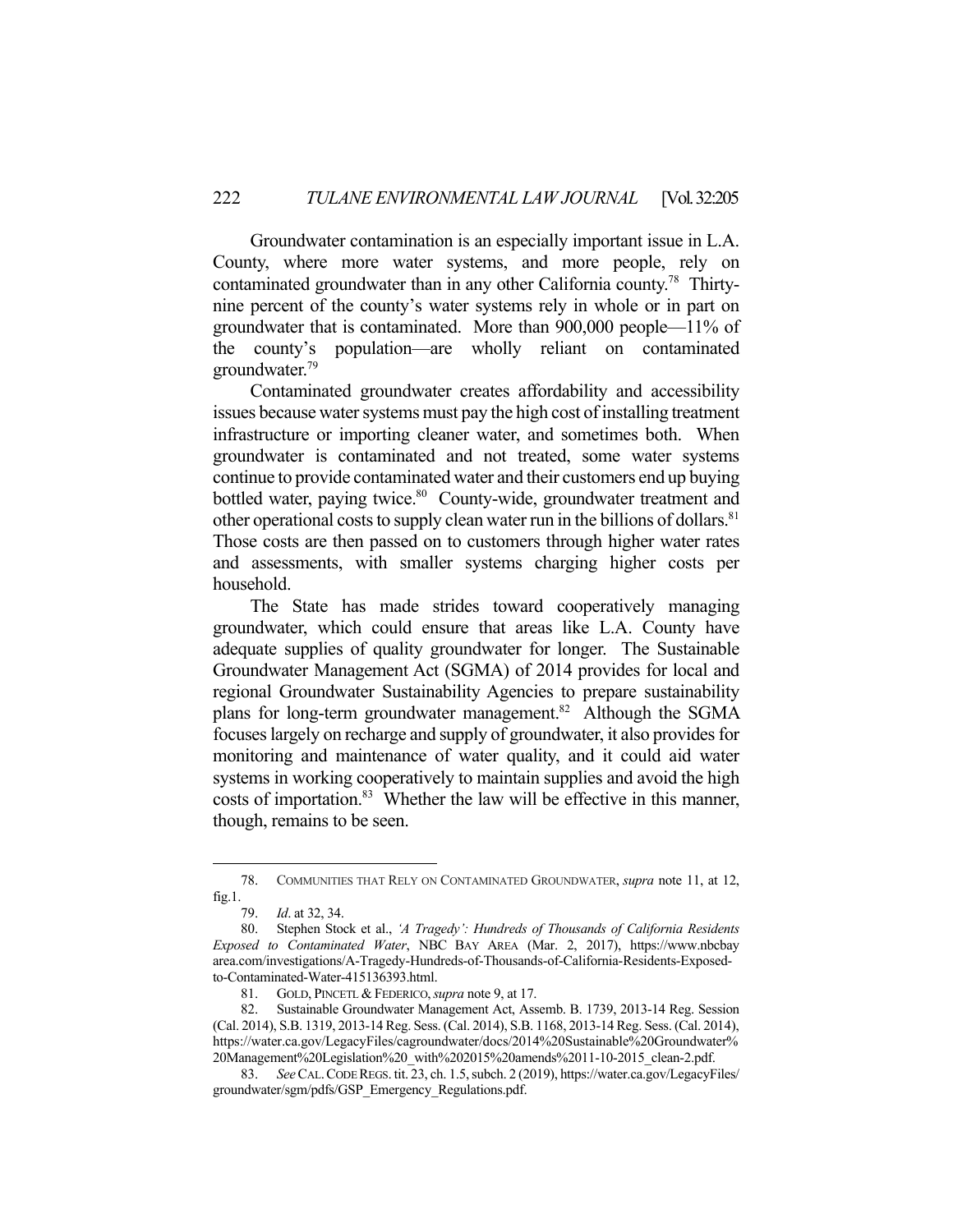Groundwater contamination is an especially important issue in L.A. County, where more water systems, and more people, rely on contaminated groundwater than in any other California county.78 Thirtynine percent of the county's water systems rely in whole or in part on groundwater that is contaminated. More than 900,000 people—11% of the county's population—are wholly reliant on contaminated groundwater.79

 Contaminated groundwater creates affordability and accessibility issues because water systems must pay the high cost of installing treatment infrastructure or importing cleaner water, and sometimes both. When groundwater is contaminated and not treated, some water systems continue to provide contaminated water and their customers end up buying bottled water, paying twice.<sup>80</sup> County-wide, groundwater treatment and other operational costs to supply clean water run in the billions of dollars.<sup>81</sup> Those costs are then passed on to customers through higher water rates and assessments, with smaller systems charging higher costs per household.

 The State has made strides toward cooperatively managing groundwater, which could ensure that areas like L.A. County have adequate supplies of quality groundwater for longer. The Sustainable Groundwater Management Act (SGMA) of 2014 provides for local and regional Groundwater Sustainability Agencies to prepare sustainability plans for long-term groundwater management.<sup>82</sup> Although the SGMA focuses largely on recharge and supply of groundwater, it also provides for monitoring and maintenance of water quality, and it could aid water systems in working cooperatively to maintain supplies and avoid the high costs of importation.<sup>83</sup> Whether the law will be effective in this manner, though, remains to be seen.

 <sup>78.</sup> COMMUNITIES THAT RELY ON CONTAMINATED GROUNDWATER, *supra* note 11, at 12, fig.1.

 <sup>79.</sup> *Id*. at 32, 34.

 <sup>80.</sup> Stephen Stock et al., *'A Tragedy': Hundreds of Thousands of California Residents Exposed to Contaminated Water*, NBC BAY AREA (Mar. 2, 2017), https://www.nbcbay area.com/investigations/A-Tragedy-Hundreds-of-Thousands-of-California-Residents-Exposedto-Contaminated-Water-415136393.html.

<sup>81.</sup> GOLD, PINCETL & FEDERICO, *supra* note 9, at 17.<br>82. Sustainable Groundwater Management Act. Ass

Sustainable Groundwater Management Act, Assemb. B. 1739, 2013-14 Reg. Session (Cal. 2014), S.B. 1319, 2013-14 Reg. Sess. (Cal. 2014), S.B. 1168, 2013-14 Reg. Sess. (Cal. 2014), https://water.ca.gov/LegacyFiles/cagroundwater/docs/2014%20Sustainable%20Groundwater% 20Management%20Legislation%20\_with%202015%20amends%2011-10-2015\_clean-2.pdf.

 <sup>83.</sup> *See* CAL.CODE REGS. tit. 23, ch. 1.5, subch. 2 (2019), https://water.ca.gov/LegacyFiles/ groundwater/sgm/pdfs/GSP\_Emergency\_Regulations.pdf.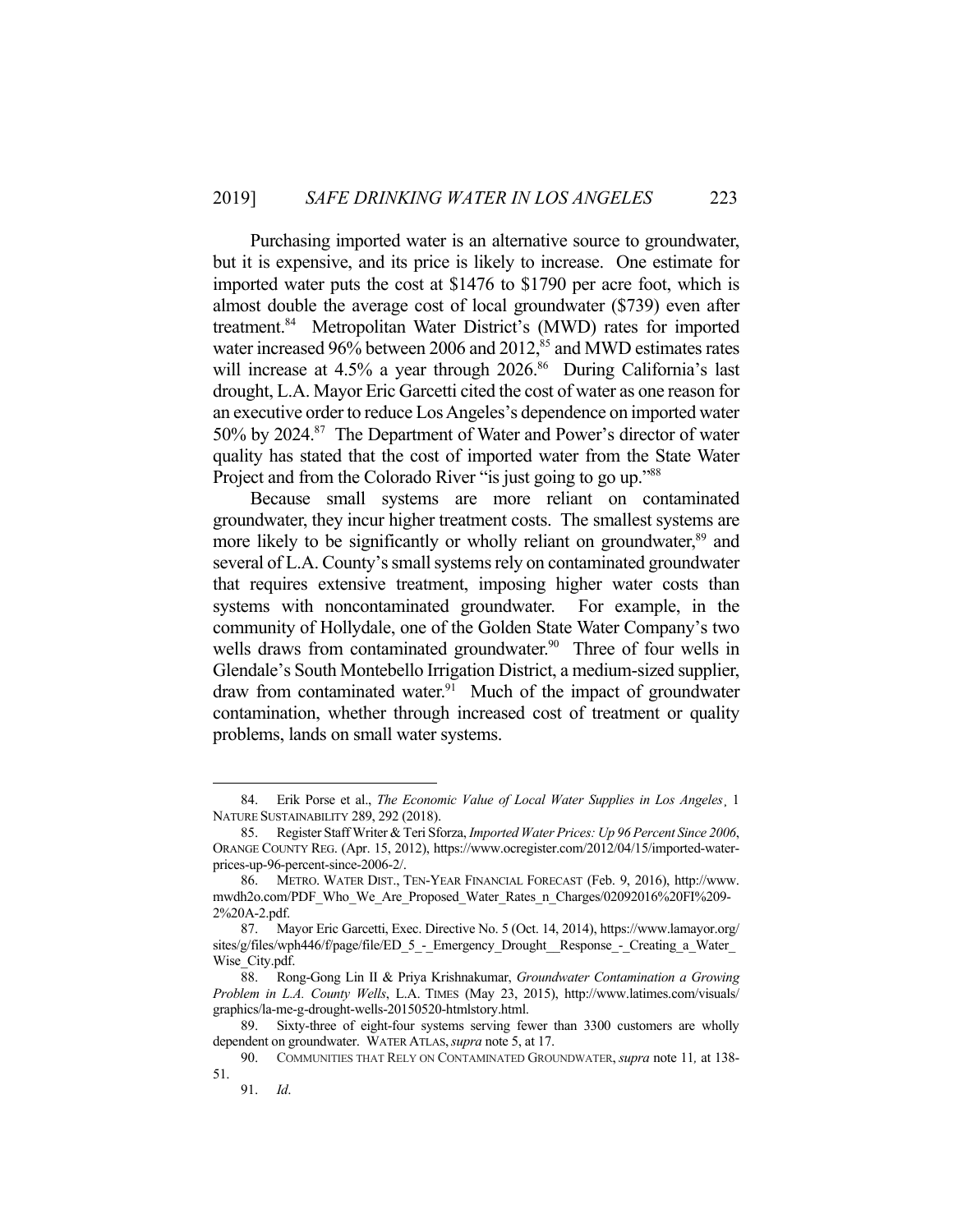Purchasing imported water is an alternative source to groundwater, but it is expensive, and its price is likely to increase. One estimate for imported water puts the cost at \$1476 to \$1790 per acre foot, which is almost double the average cost of local groundwater (\$739) even after treatment.84 Metropolitan Water District's (MWD) rates for imported water increased 96% between 2006 and 2012,<sup>85</sup> and MWD estimates rates will increase at  $4.5\%$  a year through  $2026$ .<sup>86</sup> During California's last drought, L.A. Mayor Eric Garcetti cited the cost of water as one reason for an executive order to reduce Los Angeles's dependence on imported water 50% by 2024.87 The Department of Water and Power's director of water quality has stated that the cost of imported water from the State Water Project and from the Colorado River "is just going to go up."<sup>88</sup>

 Because small systems are more reliant on contaminated groundwater, they incur higher treatment costs. The smallest systems are more likely to be significantly or wholly reliant on groundwater,<sup>89</sup> and several of L.A. County's small systems rely on contaminated groundwater that requires extensive treatment, imposing higher water costs than systems with noncontaminated groundwater. For example, in the community of Hollydale, one of the Golden State Water Company's two wells draws from contaminated groundwater.<sup>90</sup> Three of four wells in Glendale's South Montebello Irrigation District, a medium-sized supplier, draw from contaminated water.<sup>91</sup> Much of the impact of groundwater contamination, whether through increased cost of treatment or quality problems, lands on small water systems.

 <sup>84.</sup> Erik Porse et al., *The Economic Value of Local Water Supplies in Los Angeles*¸ 1 NATURE SUSTAINABILITY 289, 292 (2018).

 <sup>85.</sup> Register Staff Writer & Teri Sforza, *Imported Water Prices: Up 96 Percent Since 2006*, ORANGE COUNTY REG. (Apr. 15, 2012), https://www.ocregister.com/2012/04/15/imported-waterprices-up-96-percent-since-2006-2/.

 <sup>86.</sup> METRO. WATER DIST., TEN-YEAR FINANCIAL FORECAST (Feb. 9, 2016), http://www. mwdh2o.com/PDF\_Who\_We\_Are\_Proposed\_Water\_Rates\_n\_Charges/02092016%20FI%209- 2%20A-2.pdf.

 <sup>87.</sup> Mayor Eric Garcetti, Exec. Directive No. 5 (Oct. 14, 2014), https://www.lamayor.org/ sites/g/files/wph446/f/page/file/ED 5 - Emergency Drought\_Response - Creating a Water Wise City.pdf.

 <sup>88.</sup> Rong-Gong Lin II & Priya Krishnakumar, *Groundwater Contamination a Growing Problem in L.A. County Wells*, L.A. TIMES (May 23, 2015), http://www.latimes.com/visuals/ graphics/la-me-g-drought-wells-20150520-htmlstory.html.

 <sup>89.</sup> Sixty-three of eight-four systems serving fewer than 3300 customers are wholly dependent on groundwater. WATER ATLAS,*supra* note 5, at 17.

 <sup>90.</sup> COMMUNITIES THAT RELY ON CONTAMINATED GROUNDWATER, *supra* note 11*,* at 138- 51.

 <sup>91.</sup> *Id*.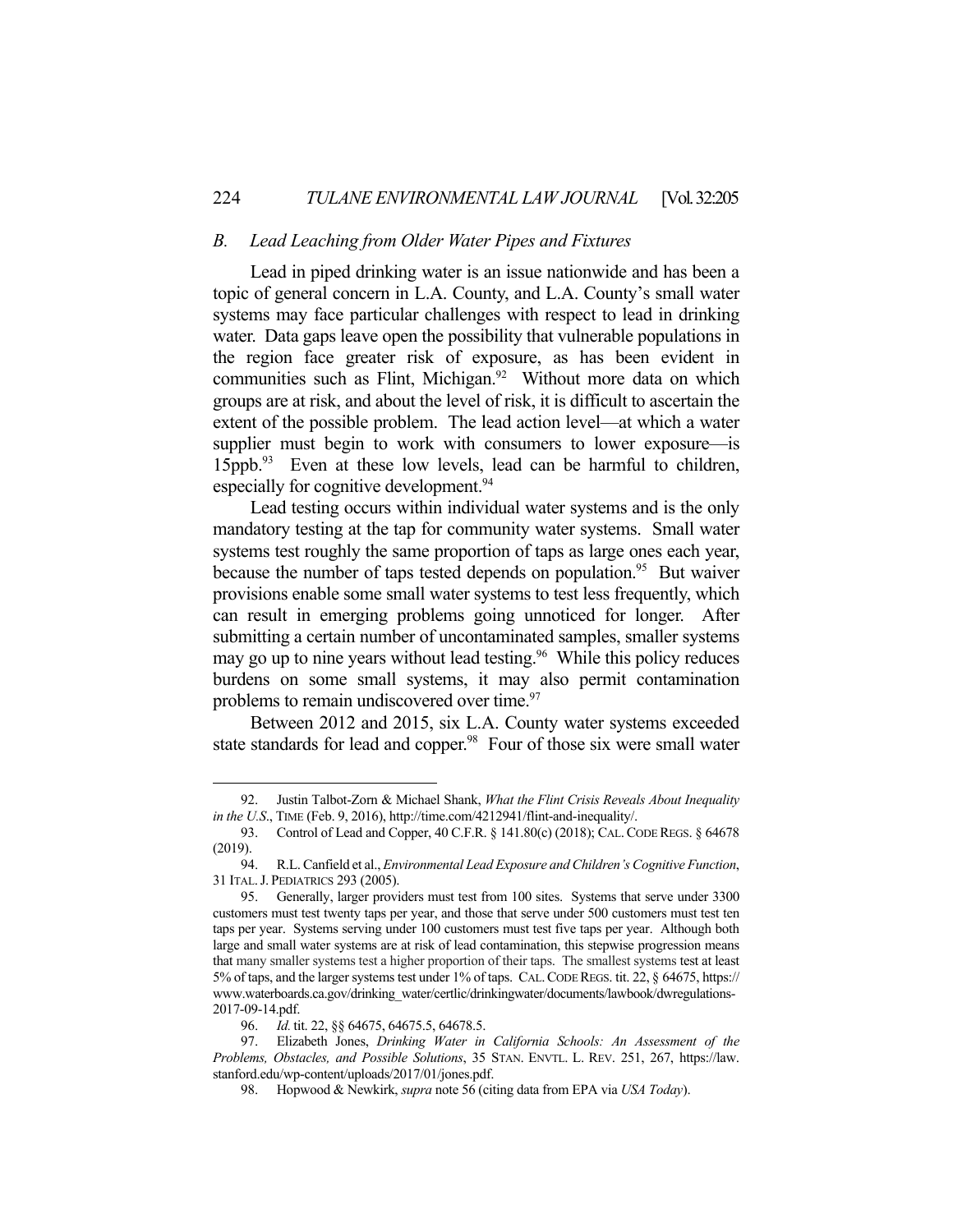## *B. Lead Leaching from Older Water Pipes and Fixtures*

 Lead in piped drinking water is an issue nationwide and has been a topic of general concern in L.A. County, and L.A. County's small water systems may face particular challenges with respect to lead in drinking water. Data gaps leave open the possibility that vulnerable populations in the region face greater risk of exposure, as has been evident in communities such as Flint, Michigan.<sup>92</sup> Without more data on which groups are at risk, and about the level of risk, it is difficult to ascertain the extent of the possible problem. The lead action level—at which a water supplier must begin to work with consumers to lower exposure—is 15ppb.93 Even at these low levels, lead can be harmful to children, especially for cognitive development.<sup>94</sup>

 Lead testing occurs within individual water systems and is the only mandatory testing at the tap for community water systems. Small water systems test roughly the same proportion of taps as large ones each year, because the number of taps tested depends on population.<sup>95</sup> But waiver provisions enable some small water systems to test less frequently, which can result in emerging problems going unnoticed for longer. After submitting a certain number of uncontaminated samples, smaller systems may go up to nine years without lead testing.<sup>96</sup> While this policy reduces burdens on some small systems, it may also permit contamination problems to remain undiscovered over time.<sup>97</sup>

 Between 2012 and 2015, six L.A. County water systems exceeded state standards for lead and copper.<sup>98</sup> Four of those six were small water

 <sup>92.</sup> Justin Talbot-Zorn & Michael Shank, *What the Flint Crisis Reveals About Inequality in the U.S*., TIME (Feb. 9, 2016), http://time.com/4212941/flint-and-inequality/.

 <sup>93.</sup> Control of Lead and Copper, 40 C.F.R. § 141.80(c) (2018); CAL.CODE REGS. § 64678 (2019).

 <sup>94.</sup> R.L. Canfield et al., *Environmental Lead Exposure and Children's Cognitive Function*, 31 ITAL.J. PEDIATRICS 293 (2005).

 <sup>95.</sup> Generally, larger providers must test from 100 sites. Systems that serve under 3300 customers must test twenty taps per year, and those that serve under 500 customers must test ten taps per year. Systems serving under 100 customers must test five taps per year. Although both large and small water systems are at risk of lead contamination, this stepwise progression means that many smaller systems test a higher proportion of their taps. The smallest systems test at least 5% of taps, and the larger systems test under 1% of taps. CAL.CODE REGS. tit. 22, § 64675, https:// www.waterboards.ca.gov/drinking\_water/certlic/drinkingwater/documents/lawbook/dwregulations-2017-09-14.pdf.

 <sup>96.</sup> *Id.* tit. 22, §§ 64675, 64675.5, 64678.5.

 <sup>97.</sup> Elizabeth Jones, *Drinking Water in California Schools: An Assessment of the Problems, Obstacles, and Possible Solutions*, 35 STAN. ENVTL. L. REV. 251, 267, https://law. stanford.edu/wp-content/uploads/2017/01/jones.pdf.

 <sup>98.</sup> Hopwood & Newkirk, *supra* note 56 (citing data from EPA via *USA Today*).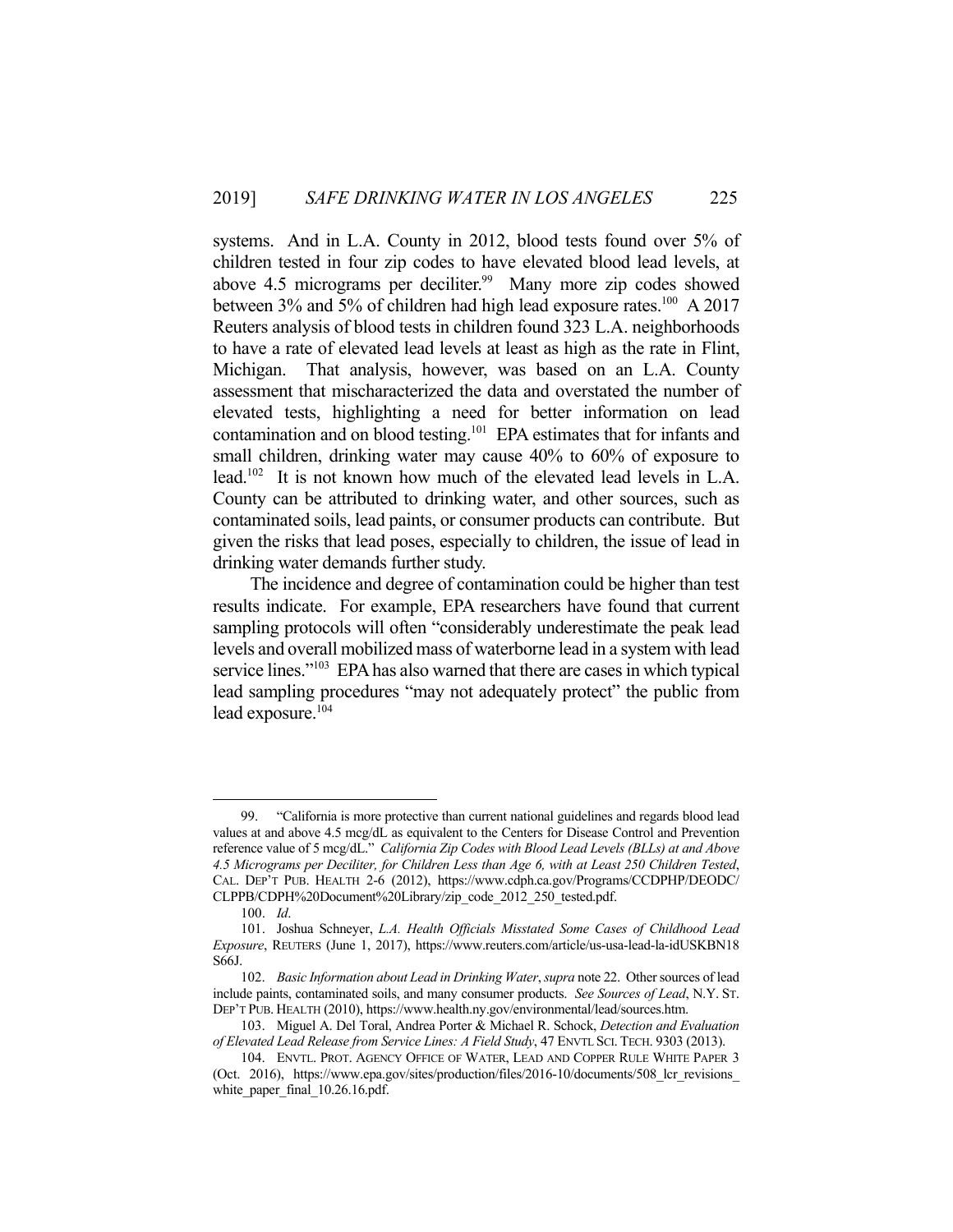systems. And in L.A. County in 2012, blood tests found over 5% of children tested in four zip codes to have elevated blood lead levels, at above 4.5 micrograms per deciliter.<sup>99</sup> Many more zip codes showed between 3% and 5% of children had high lead exposure rates.<sup>100</sup> A 2017 Reuters analysis of blood tests in children found 323 L.A. neighborhoods to have a rate of elevated lead levels at least as high as the rate in Flint, Michigan. That analysis, however, was based on an L.A. County assessment that mischaracterized the data and overstated the number of elevated tests, highlighting a need for better information on lead contamination and on blood testing.101 EPA estimates that for infants and small children, drinking water may cause 40% to 60% of exposure to lead.<sup>102</sup> It is not known how much of the elevated lead levels in L.A. County can be attributed to drinking water, and other sources, such as contaminated soils, lead paints, or consumer products can contribute. But given the risks that lead poses, especially to children, the issue of lead in drinking water demands further study.

 The incidence and degree of contamination could be higher than test results indicate. For example, EPA researchers have found that current sampling protocols will often "considerably underestimate the peak lead levels and overall mobilized mass of waterborne lead in a system with lead service lines."<sup>103</sup> EPA has also warned that there are cases in which typical lead sampling procedures "may not adequately protect" the public from lead exposure.<sup>104</sup>

 <sup>99. &</sup>quot;California is more protective than current national guidelines and regards blood lead values at and above 4.5 mcg/dL as equivalent to the Centers for Disease Control and Prevention reference value of 5 mcg/dL." *California Zip Codes with Blood Lead Levels (BLLs) at and Above 4.5 Micrograms per Deciliter, for Children Less than Age 6, with at Least 250 Children Tested*, CAL. DEP'T PUB. HEALTH 2-6 (2012), https://www.cdph.ca.gov/Programs/CCDPHP/DEODC/ CLPPB/CDPH%20Document%20Library/zip\_code\_2012\_250\_tested.pdf.

 <sup>100.</sup> *Id*.

 <sup>101.</sup> Joshua Schneyer, *L.A. Health Officials Misstated Some Cases of Childhood Lead Exposure*, REUTERS (June 1, 2017), https://www.reuters.com/article/us-usa-lead-la-idUSKBN18 S66J.

 <sup>102.</sup> *Basic Information about Lead in Drinking Water*, *supra* note 22. Other sources of lead include paints, contaminated soils, and many consumer products. *See Sources of Lead*, N.Y. ST. DEP'T PUB. HEALTH (2010), https://www.health.ny.gov/environmental/lead/sources.htm.

 <sup>103.</sup> Miguel A. Del Toral, Andrea Porter & Michael R. Schock, *Detection and Evaluation of Elevated Lead Release from Service Lines: A Field Study*, 47 ENVTL SCI. TECH. 9303 (2013).

 <sup>104.</sup> ENVTL. PROT. AGENCY OFFICE OF WATER, LEAD AND COPPER RULE WHITE PAPER 3 (Oct. 2016), https://www.epa.gov/sites/production/files/2016-10/documents/508 lcr revisions white paper final 10.26.16.pdf.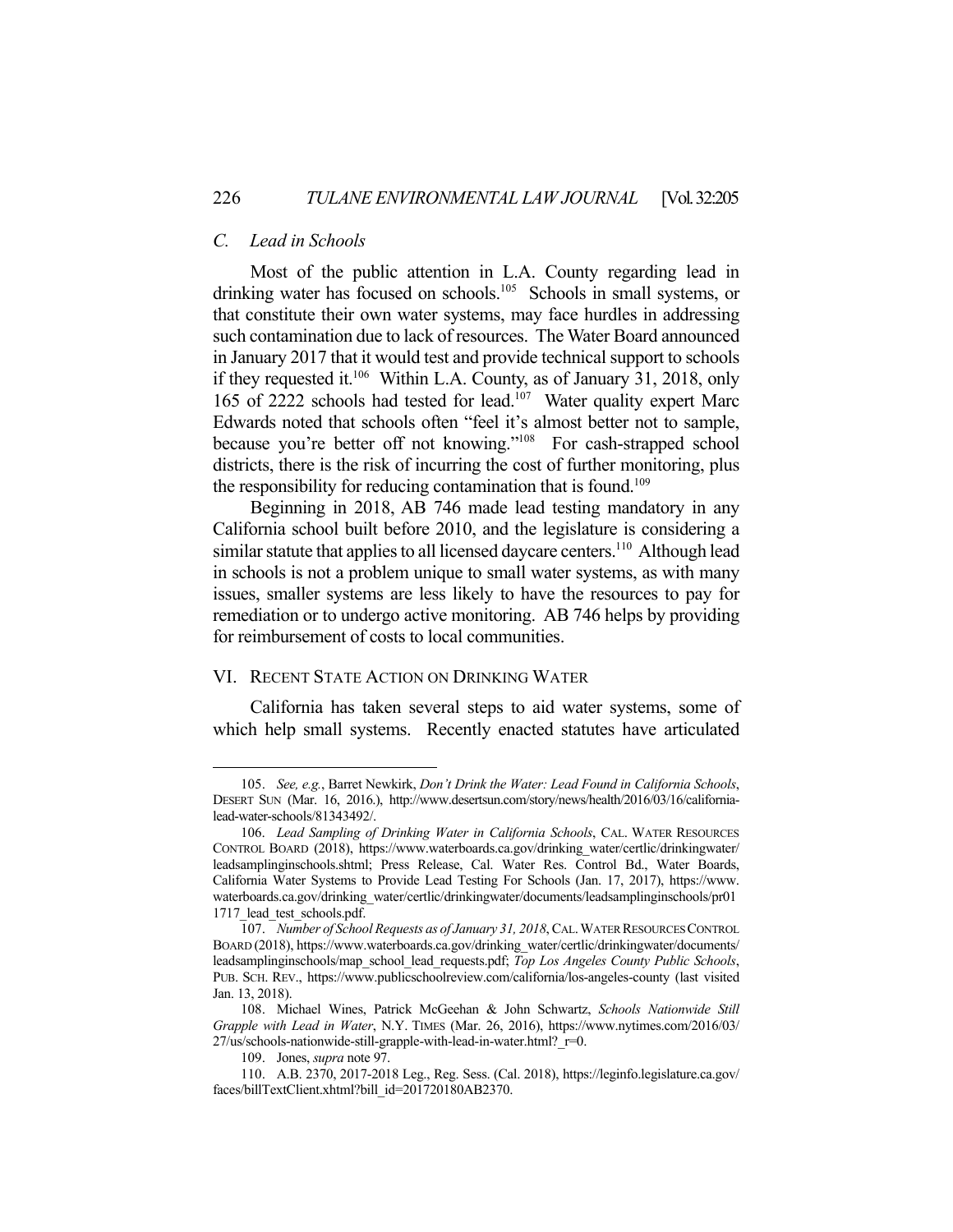## *C. Lead in Schools*

 Most of the public attention in L.A. County regarding lead in drinking water has focused on schools.<sup>105</sup> Schools in small systems, or that constitute their own water systems, may face hurdles in addressing such contamination due to lack of resources. The Water Board announced in January 2017 that it would test and provide technical support to schools if they requested it.<sup>106</sup> Within L.A. County, as of January 31, 2018, only 165 of 2222 schools had tested for lead.107 Water quality expert Marc Edwards noted that schools often "feel it's almost better not to sample, because you're better off not knowing."<sup>108</sup> For cash-strapped school districts, there is the risk of incurring the cost of further monitoring, plus the responsibility for reducing contamination that is found.<sup>109</sup>

 Beginning in 2018, AB 746 made lead testing mandatory in any California school built before 2010, and the legislature is considering a similar statute that applies to all licensed daycare centers.<sup>110</sup> Although lead in schools is not a problem unique to small water systems, as with many issues, smaller systems are less likely to have the resources to pay for remediation or to undergo active monitoring. AB 746 helps by providing for reimbursement of costs to local communities.

## VI. RECENT STATE ACTION ON DRINKING WATER

California has taken several steps to aid water systems, some of which help small systems. Recently enacted statutes have articulated

 <sup>105.</sup> *See, e.g.*, Barret Newkirk, *Don't Drink the Water: Lead Found in California Schools*, DESERT SUN (Mar. 16, 2016.), http://www.desertsun.com/story/news/health/2016/03/16/californialead-water-schools/81343492/.

 <sup>106.</sup> *Lead Sampling of Drinking Water in California Schools*, CAL. WATER RESOURCES CONTROL BOARD (2018), https://www.waterboards.ca.gov/drinking\_water/certlic/drinkingwater/ leadsamplinginschools.shtml; Press Release, Cal. Water Res. Control Bd., Water Boards, California Water Systems to Provide Lead Testing For Schools (Jan. 17, 2017), https://www. waterboards.ca.gov/drinking\_water/certlic/drinkingwater/documents/leadsamplinginschools/pr01 1717 lead test schools.pdf.

 <sup>107.</sup> *Number of School Requests as of January 31, 2018*, CAL.WATER RESOURCES CONTROL BOARD (2018), https://www.waterboards.ca.gov/drinking\_water/certlic/drinkingwater/documents/ leadsamplinginschools/map\_school\_lead\_requests.pdf; *Top Los Angeles County Public Schools*, PUB. SCH. REV., https://www.publicschoolreview.com/california/los-angeles-county (last visited Jan. 13, 2018).

 <sup>108.</sup> Michael Wines, Patrick McGeehan & John Schwartz, *Schools Nationwide Still Grapple with Lead in Water*, N.Y. TIMES (Mar. 26, 2016), https://www.nytimes.com/2016/03/  $27$ /us/schools-nationwide-still-grapple-with-lead-in-water.html?  $r=0$ .

 <sup>109.</sup> Jones, *supra* note 97.

 <sup>110.</sup> A.B. 2370, 2017-2018 Leg., Reg. Sess. (Cal. 2018), https://leginfo.legislature.ca.gov/ faces/billTextClient.xhtml?bill\_id=201720180AB2370.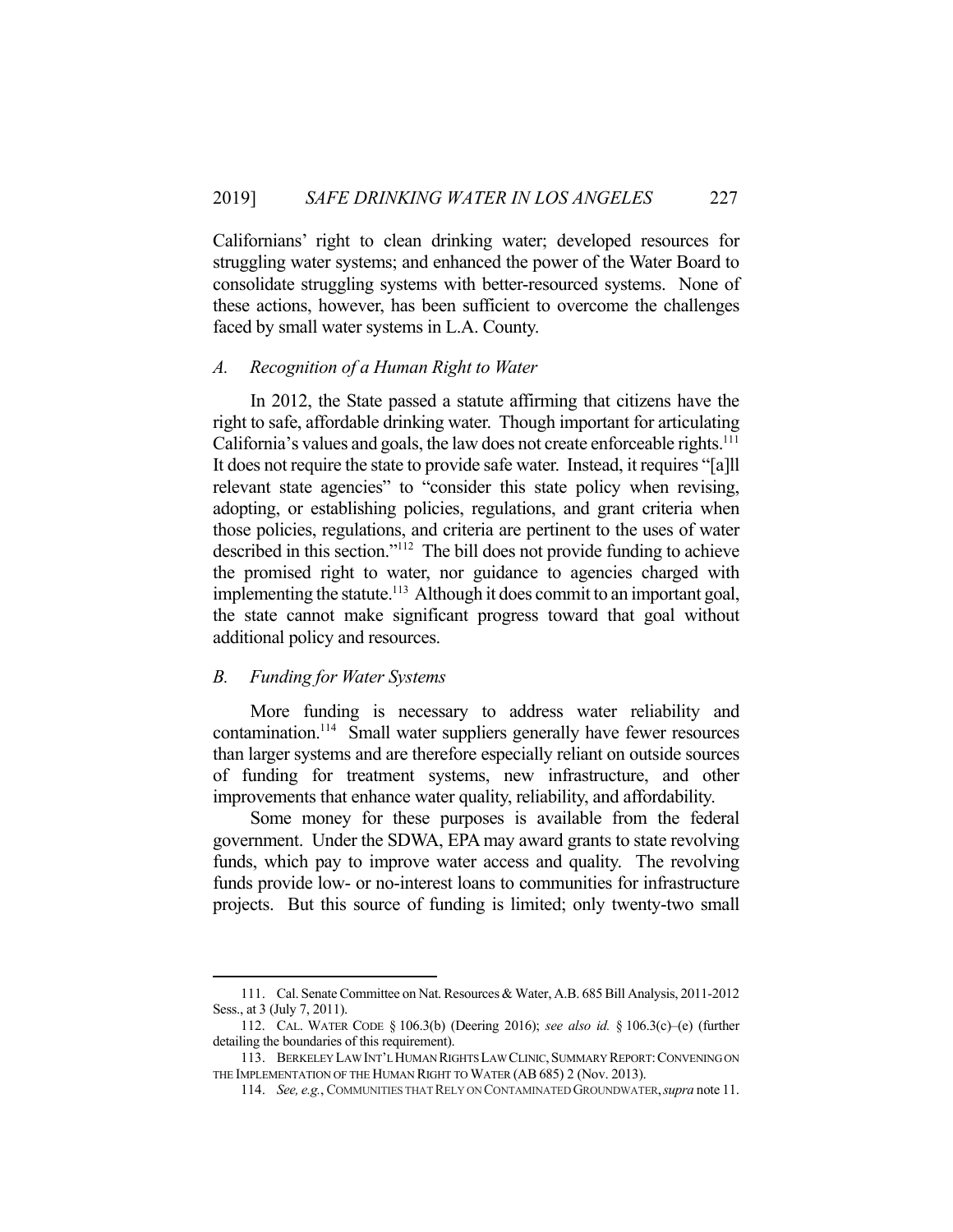Californians' right to clean drinking water; developed resources for struggling water systems; and enhanced the power of the Water Board to consolidate struggling systems with better-resourced systems. None of these actions, however, has been sufficient to overcome the challenges faced by small water systems in L.A. County.

## *A. Recognition of a Human Right to Water*

 In 2012, the State passed a statute affirming that citizens have the right to safe, affordable drinking water. Though important for articulating California's values and goals, the law does not create enforceable rights.<sup>111</sup> It does not require the state to provide safe water. Instead, it requires "[a]ll relevant state agencies" to "consider this state policy when revising, adopting, or establishing policies, regulations, and grant criteria when those policies, regulations, and criteria are pertinent to the uses of water described in this section."112 The bill does not provide funding to achieve the promised right to water, nor guidance to agencies charged with implementing the statute.<sup>113</sup> Although it does commit to an important goal, the state cannot make significant progress toward that goal without additional policy and resources.

#### *B. Funding for Water Systems*

1

 More funding is necessary to address water reliability and contamination.<sup>114</sup> Small water suppliers generally have fewer resources than larger systems and are therefore especially reliant on outside sources of funding for treatment systems, new infrastructure, and other improvements that enhance water quality, reliability, and affordability.

 Some money for these purposes is available from the federal government. Under the SDWA, EPA may award grants to state revolving funds, which pay to improve water access and quality. The revolving funds provide low- or no-interest loans to communities for infrastructure projects. But this source of funding is limited; only twenty-two small

 <sup>111.</sup> Cal. Senate Committee on Nat. Resources & Water, A.B. 685 Bill Analysis, 2011-2012 Sess., at 3 (July 7, 2011).

 <sup>112.</sup> CAL. WATER CODE § 106.3(b) (Deering 2016); *see also id.* § 106.3(c)–(e) (further detailing the boundaries of this requirement).

 <sup>113.</sup> BERKELEY LAW INT'L HUMAN RIGHTS LAW CLINIC,SUMMARY REPORT:CONVENING ON THE IMPLEMENTATION OF THE HUMAN RIGHT TO WATER (AB685) 2 (Nov. 2013).

 <sup>114.</sup> *See, e.g.*, COMMUNITIES THAT RELY ON CONTAMINATED GROUNDWATER,*supra* note 11.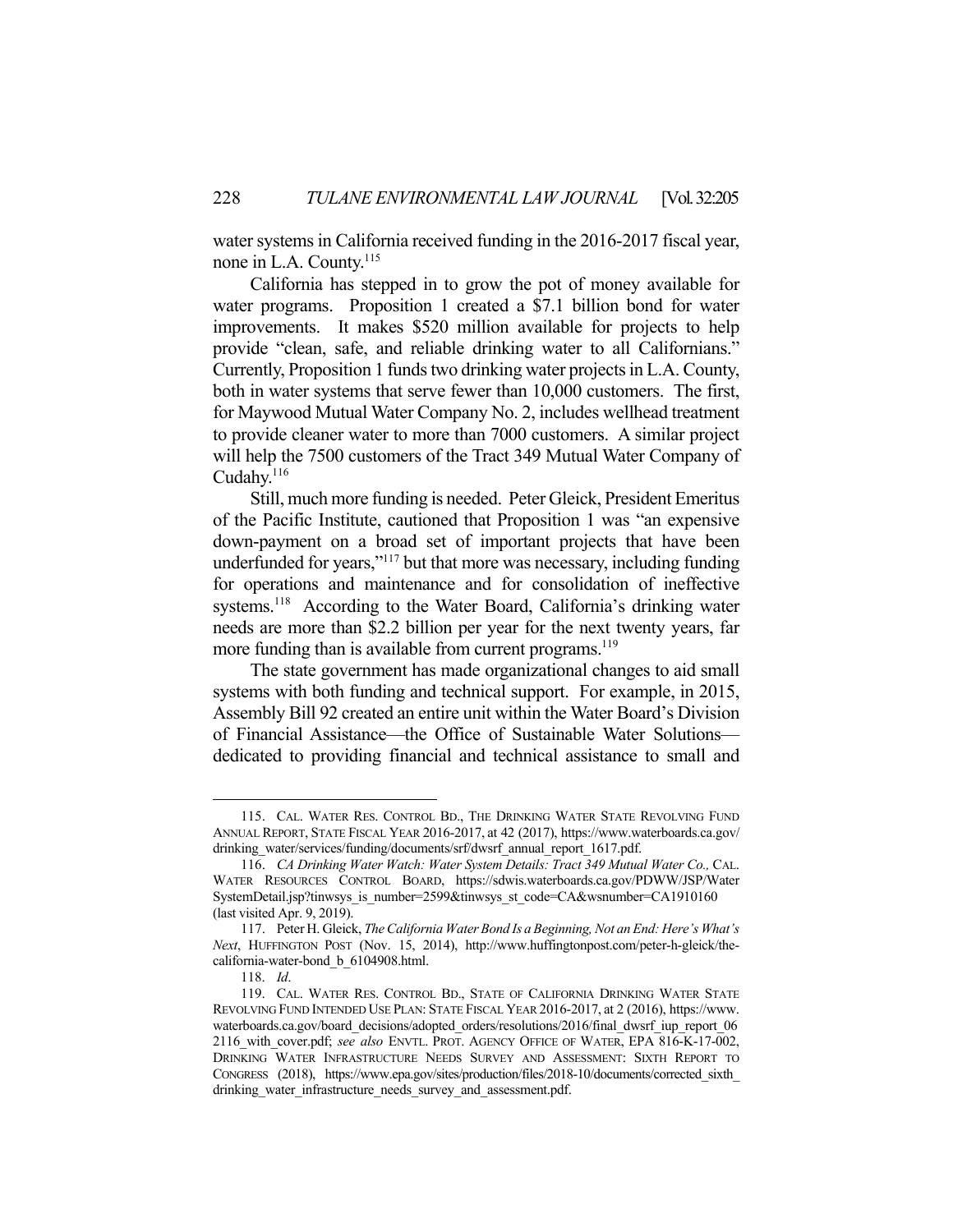water systems in California received funding in the 2016-2017 fiscal year, none in L.A. County.<sup>115</sup>

 California has stepped in to grow the pot of money available for water programs. Proposition 1 created a \$7.1 billion bond for water improvements. It makes \$520 million available for projects to help provide "clean, safe, and reliable drinking water to all Californians." Currently, Proposition 1 funds two drinking water projects in L.A. County, both in water systems that serve fewer than 10,000 customers. The first, for Maywood Mutual Water Company No. 2, includes wellhead treatment to provide cleaner water to more than 7000 customers. A similar project will help the 7500 customers of the Tract 349 Mutual Water Company of Cudahy.<sup>116</sup>

 Still, much more funding is needed. Peter Gleick, President Emeritus of the Pacific Institute, cautioned that Proposition 1 was "an expensive down-payment on a broad set of important projects that have been underfunded for years,"117 but that more was necessary, including funding for operations and maintenance and for consolidation of ineffective systems.<sup>118</sup> According to the Water Board, California's drinking water needs are more than \$2.2 billion per year for the next twenty years, far more funding than is available from current programs.<sup>119</sup>

 The state government has made organizational changes to aid small systems with both funding and technical support. For example, in 2015, Assembly Bill 92 created an entire unit within the Water Board's Division of Financial Assistance—the Office of Sustainable Water Solutions dedicated to providing financial and technical assistance to small and

 <sup>115.</sup> CAL. WATER RES. CONTROL BD., THE DRINKING WATER STATE REVOLVING FUND ANNUAL REPORT, STATE FISCAL YEAR 2016-2017, at 42 (2017), https://www.waterboards.ca.gov/ drinking\_water/services/funding/documents/srf/dwsrf\_annual\_report\_1617.pdf.

 <sup>116.</sup> *CA Drinking Water Watch: Water System Details: Tract 349 Mutual Water Co.,* CAL. WATER RESOURCES CONTROL BOARD, https://sdwis.waterboards.ca.gov/PDWW/JSP/Water SystemDetail.jsp?tinwsys\_is\_number=2599&tinwsys\_st\_code=CA&wsnumber=CA1910160 (last visited Apr. 9, 2019).

 <sup>117.</sup> Peter H. Gleick, *The California Water Bond Is a Beginning, Not an End: Here's What's Next*, HUFFINGTON POST (Nov. 15, 2014), http://www.huffingtonpost.com/peter-h-gleick/thecalifornia-water-bond\_b\_6104908.html.

 <sup>118.</sup> *Id*.

 <sup>119.</sup> CAL. WATER RES. CONTROL BD., STATE OF CALIFORNIA DRINKING WATER STATE REVOLVING FUND INTENDED USE PLAN: STATE FISCAL YEAR 2016-2017, at 2 (2016), https://www. waterboards.ca.gov/board\_decisions/adopted\_orders/resolutions/2016/final\_dwsrf\_iup\_report\_06 2116\_with\_cover.pdf; *see also* ENVTL. PROT. AGENCY OFFICE OF WATER, EPA 816-K-17-002, DRINKING WATER INFRASTRUCTURE NEEDS SURVEY AND ASSESSMENT: SIXTH REPORT TO CONGRESS (2018), https://www.epa.gov/sites/production/files/2018-10/documents/corrected\_sixth\_ drinking\_water\_infrastructure\_needs\_survey\_and\_assessment.pdf.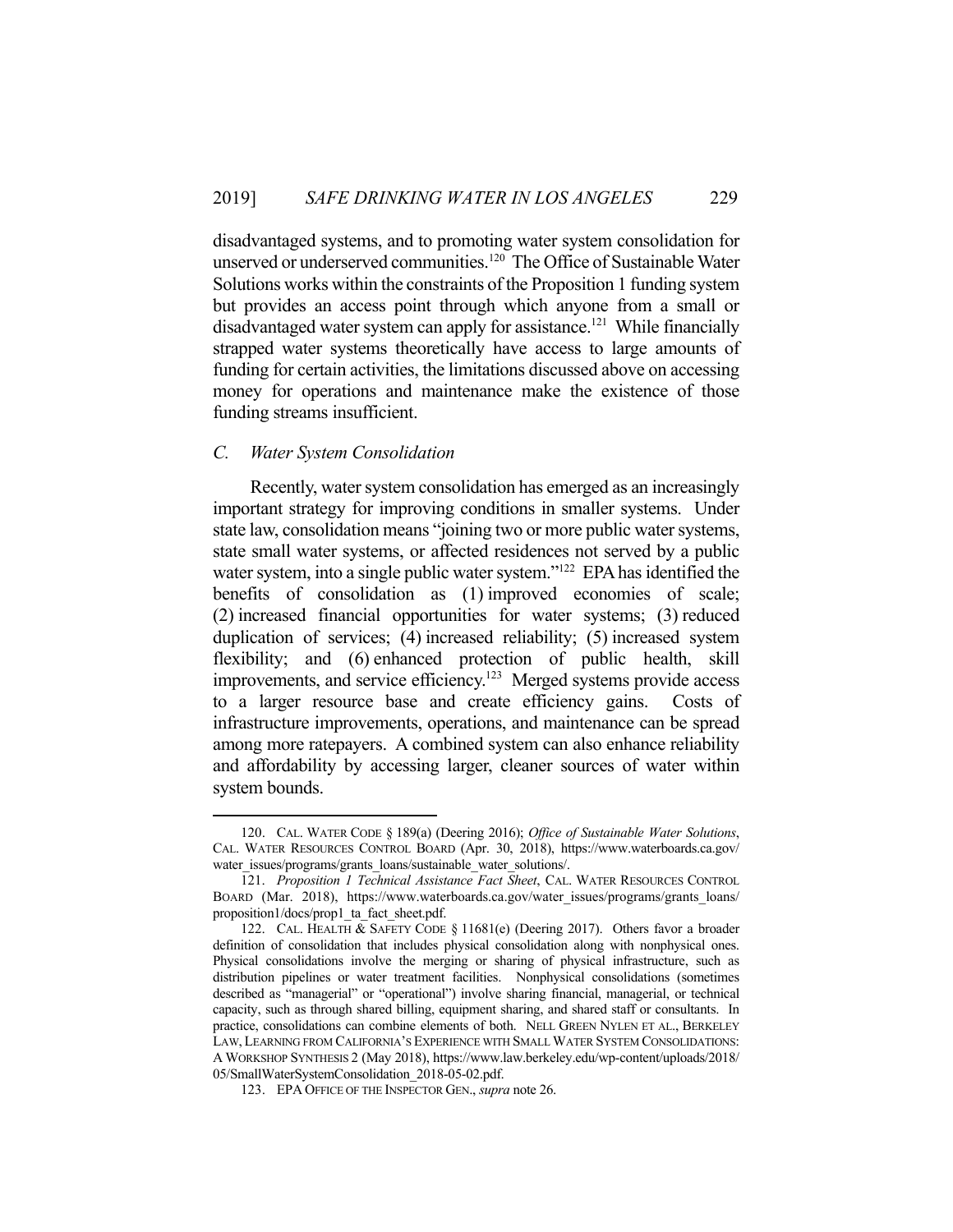disadvantaged systems, and to promoting water system consolidation for unserved or underserved communities.<sup>120</sup> The Office of Sustainable Water Solutions works within the constraints of the Proposition 1 funding system but provides an access point through which anyone from a small or disadvantaged water system can apply for assistance.<sup>121</sup> While financially strapped water systems theoretically have access to large amounts of funding for certain activities, the limitations discussed above on accessing money for operations and maintenance make the existence of those funding streams insufficient.

## *C. Water System Consolidation*

1

 Recently, water system consolidation has emerged as an increasingly important strategy for improving conditions in smaller systems. Under state law, consolidation means "joining two or more public water systems, state small water systems, or affected residences not served by a public water system, into a single public water system."<sup>122</sup> EPA has identified the benefits of consolidation as (1) improved economies of scale; (2) increased financial opportunities for water systems; (3) reduced duplication of services; (4) increased reliability; (5) increased system flexibility; and (6) enhanced protection of public health, skill improvements, and service efficiency.<sup>123</sup> Merged systems provide access to a larger resource base and create efficiency gains. Costs of infrastructure improvements, operations, and maintenance can be spread among more ratepayers. A combined system can also enhance reliability and affordability by accessing larger, cleaner sources of water within system bounds.

 <sup>120.</sup> CAL. WATER CODE § 189(a) (Deering 2016); *Office of Sustainable Water Solutions*, CAL. WATER RESOURCES CONTROL BOARD (Apr. 30, 2018), https://www.waterboards.ca.gov/ water\_issues/programs/grants\_loans/sustainable\_water\_solutions/.

 <sup>121.</sup> *Proposition 1 Technical Assistance Fact Sheet*, CAL. WATER RESOURCES CONTROL BOARD (Mar. 2018), https://www.waterboards.ca.gov/water\_issues/programs/grants\_loans/ proposition1/docs/prop1\_ta\_fact\_sheet.pdf.

 <sup>122.</sup> CAL. HEALTH & SAFETY CODE § 11681(e) (Deering 2017). Others favor a broader definition of consolidation that includes physical consolidation along with nonphysical ones. Physical consolidations involve the merging or sharing of physical infrastructure, such as distribution pipelines or water treatment facilities. Nonphysical consolidations (sometimes described as "managerial" or "operational") involve sharing financial, managerial, or technical capacity, such as through shared billing, equipment sharing, and shared staff or consultants. In practice, consolidations can combine elements of both. NELL GREEN NYLEN ET AL., BERKELEY LAW, LEARNING FROM CALIFORNIA'S EXPERIENCE WITH SMALL WATER SYSTEM CONSOLIDATIONS: A WORKSHOP SYNTHESIS 2 (May 2018), https://www.law.berkeley.edu/wp-content/uploads/2018/ 05/SmallWaterSystemConsolidation\_2018-05-02.pdf.

 <sup>123.</sup> EPA OFFICE OF THE INSPECTOR GEN., *supra* note 26.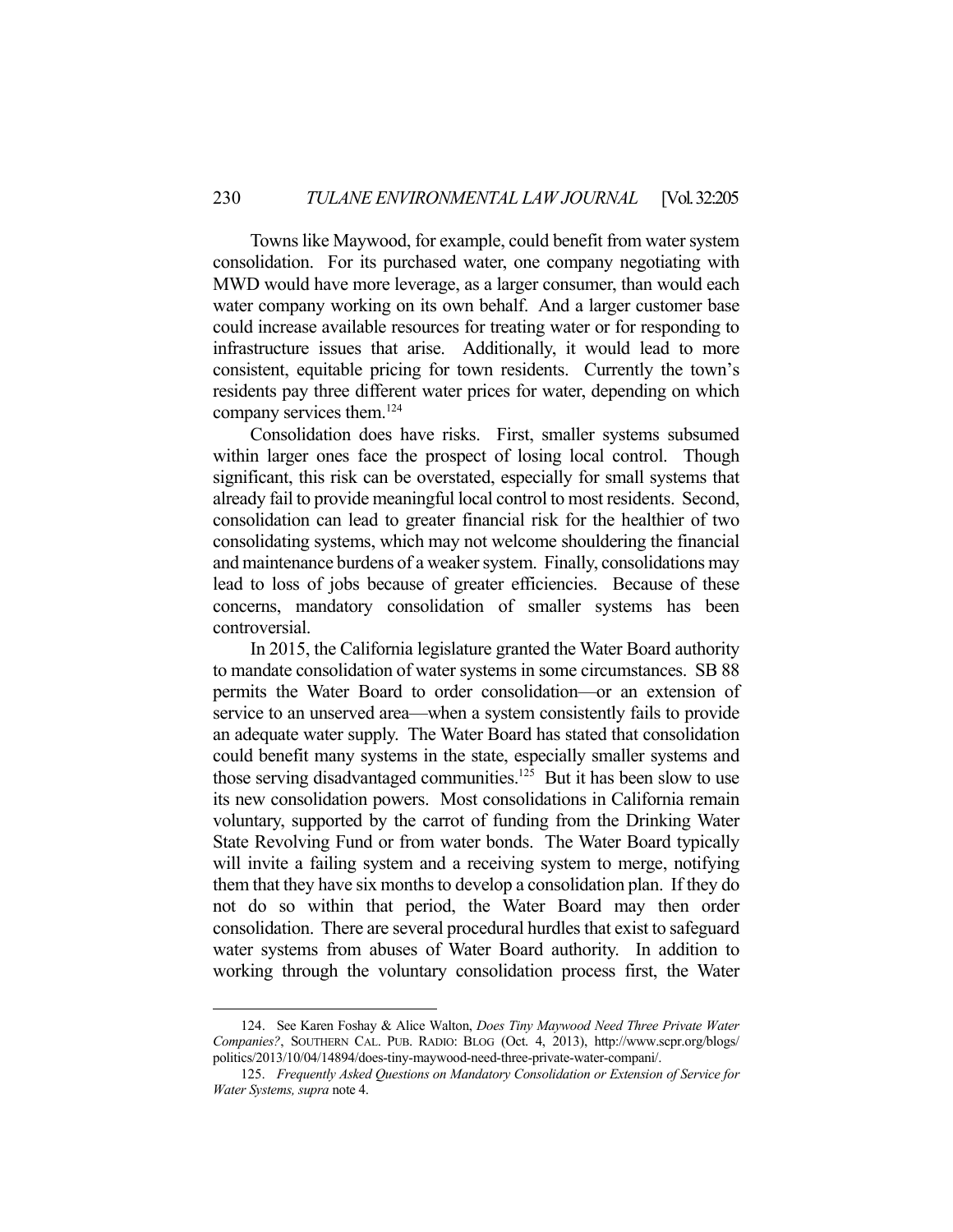Towns like Maywood, for example, could benefit from water system consolidation. For its purchased water, one company negotiating with MWD would have more leverage, as a larger consumer, than would each water company working on its own behalf. And a larger customer base could increase available resources for treating water or for responding to infrastructure issues that arise. Additionally, it would lead to more consistent, equitable pricing for town residents. Currently the town's residents pay three different water prices for water, depending on which company services them.124

 Consolidation does have risks. First, smaller systems subsumed within larger ones face the prospect of losing local control. Though significant, this risk can be overstated, especially for small systems that already fail to provide meaningful local control to most residents. Second, consolidation can lead to greater financial risk for the healthier of two consolidating systems, which may not welcome shouldering the financial and maintenance burdens of a weaker system. Finally, consolidations may lead to loss of jobs because of greater efficiencies. Because of these concerns, mandatory consolidation of smaller systems has been controversial.

 In 2015, the California legislature granted the Water Board authority to mandate consolidation of water systems in some circumstances. SB 88 permits the Water Board to order consolidation—or an extension of service to an unserved area—when a system consistently fails to provide an adequate water supply. The Water Board has stated that consolidation could benefit many systems in the state, especially smaller systems and those serving disadvantaged communities.<sup>125</sup> But it has been slow to use its new consolidation powers. Most consolidations in California remain voluntary, supported by the carrot of funding from the Drinking Water State Revolving Fund or from water bonds. The Water Board typically will invite a failing system and a receiving system to merge, notifying them that they have six months to develop a consolidation plan. If they do not do so within that period, the Water Board may then order consolidation. There are several procedural hurdles that exist to safeguard water systems from abuses of Water Board authority. In addition to working through the voluntary consolidation process first, the Water

 <sup>124.</sup> See Karen Foshay & Alice Walton, *Does Tiny Maywood Need Three Private Water Companies?*, SOUTHERN CAL. PUB. RADIO: BLOG (Oct. 4, 2013), http://www.scpr.org/blogs/ politics/2013/10/04/14894/does-tiny-maywood-need-three-private-water-compani/.

 <sup>125.</sup> *Frequently Asked Questions on Mandatory Consolidation or Extension of Service for Water Systems, supra* note 4.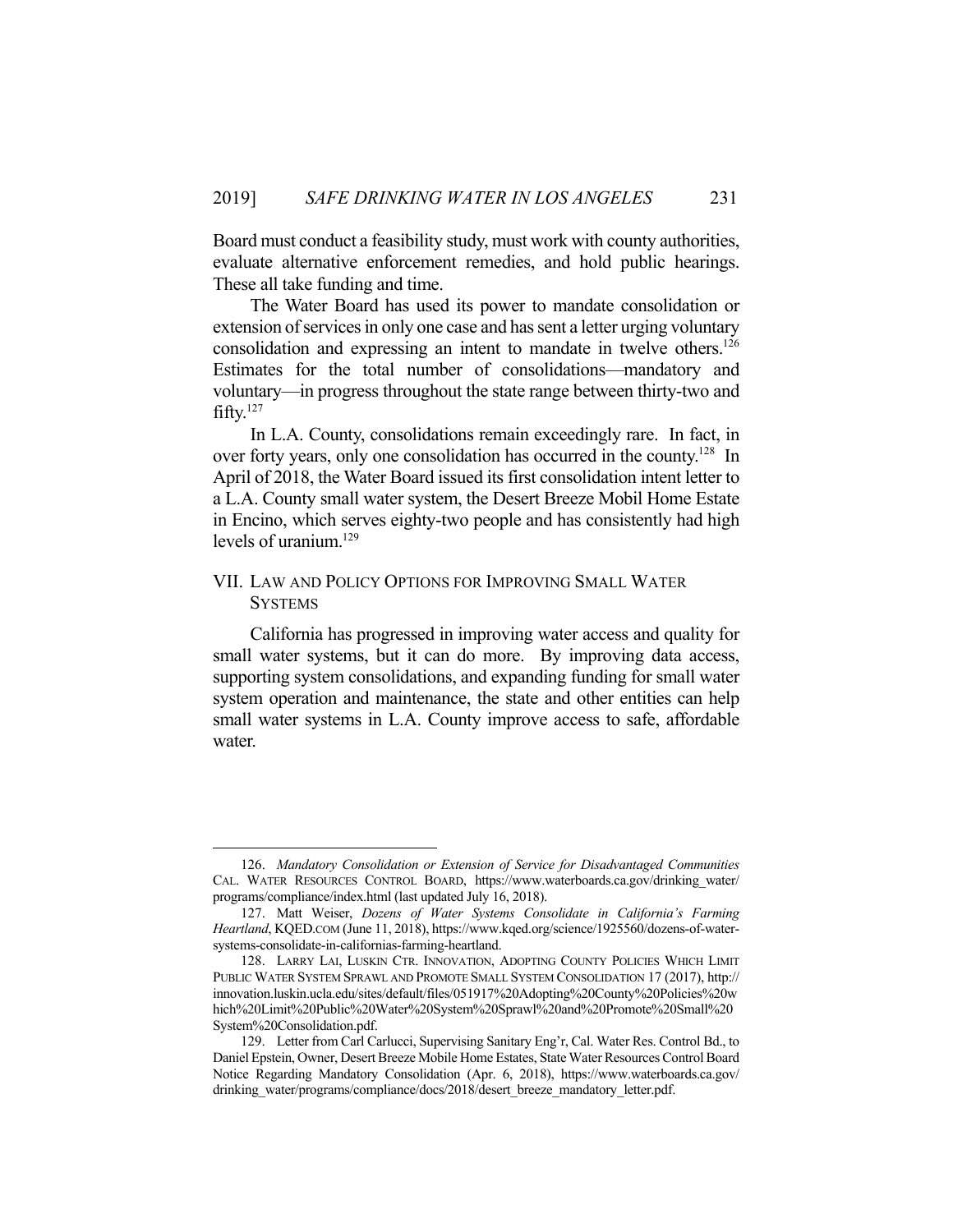Board must conduct a feasibility study, must work with county authorities, evaluate alternative enforcement remedies, and hold public hearings. These all take funding and time.

 The Water Board has used its power to mandate consolidation or extension of services in only one case and has sent a letter urging voluntary consolidation and expressing an intent to mandate in twelve others.<sup>126</sup> Estimates for the total number of consolidations—mandatory and voluntary—in progress throughout the state range between thirty-two and fifty.127

 In L.A. County, consolidations remain exceedingly rare. In fact, in over forty years, only one consolidation has occurred in the county.<sup>128</sup> In April of 2018, the Water Board issued its first consolidation intent letter to a L.A. County small water system, the Desert Breeze Mobil Home Estate in Encino, which serves eighty-two people and has consistently had high levels of uranium.<sup>129</sup>

## VII. LAW AND POLICY OPTIONS FOR IMPROVING SMALL WATER **SYSTEMS**

California has progressed in improving water access and quality for small water systems, but it can do more. By improving data access, supporting system consolidations, and expanding funding for small water system operation and maintenance, the state and other entities can help small water systems in L.A. County improve access to safe, affordable water.

 <sup>126.</sup> *Mandatory Consolidation or Extension of Service for Disadvantaged Communities* CAL. WATER RESOURCES CONTROL BOARD, https://www.waterboards.ca.gov/drinking\_water/ programs/compliance/index.html (last updated July 16, 2018).

 <sup>127.</sup> Matt Weiser, *Dozens of Water Systems Consolidate in California's Farming Heartland*, KQED.COM (June 11, 2018), https://www.kqed.org/science/1925560/dozens-of-watersystems-consolidate-in-californias-farming-heartland.

 <sup>128.</sup> LARRY LAI, LUSKIN CTR. INNOVATION, ADOPTING COUNTY POLICIES WHICH LIMIT PUBLIC WATER SYSTEM SPRAWL AND PROMOTE SMALL SYSTEM CONSOLIDATION 17 (2017), http:// innovation.luskin.ucla.edu/sites/default/files/051917%20Adopting%20County%20Policies%20w hich%20Limit%20Public%20Water%20System%20Sprawl%20and%20Promote%20Small%20 System%20Consolidation.pdf.

 <sup>129.</sup> Letter from Carl Carlucci, Supervising Sanitary Eng'r, Cal. Water Res. Control Bd., to Daniel Epstein, Owner, Desert Breeze Mobile Home Estates, State Water Resources Control Board Notice Regarding Mandatory Consolidation (Apr. 6, 2018), https://www.waterboards.ca.gov/ drinking\_water/programs/compliance/docs/2018/desert\_breeze\_mandatory\_letter.pdf.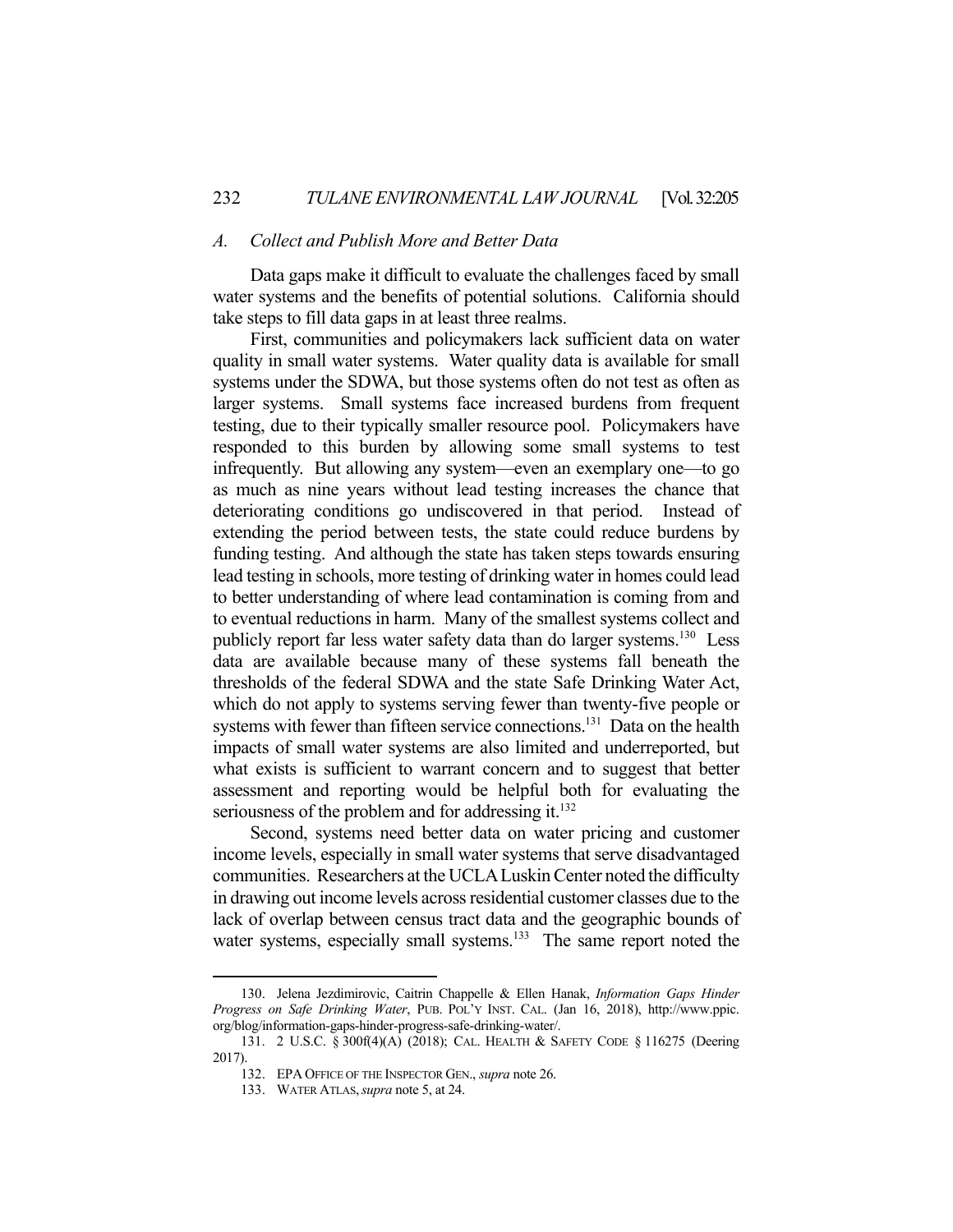#### *A. Collect and Publish More and Better Data*

 Data gaps make it difficult to evaluate the challenges faced by small water systems and the benefits of potential solutions. California should take steps to fill data gaps in at least three realms.

 First, communities and policymakers lack sufficient data on water quality in small water systems. Water quality data is available for small systems under the SDWA, but those systems often do not test as often as larger systems. Small systems face increased burdens from frequent testing, due to their typically smaller resource pool. Policymakers have responded to this burden by allowing some small systems to test infrequently. But allowing any system—even an exemplary one—to go as much as nine years without lead testing increases the chance that deteriorating conditions go undiscovered in that period. Instead of extending the period between tests, the state could reduce burdens by funding testing. And although the state has taken steps towards ensuring lead testing in schools, more testing of drinking water in homes could lead to better understanding of where lead contamination is coming from and to eventual reductions in harm. Many of the smallest systems collect and publicly report far less water safety data than do larger systems.<sup>130</sup> Less data are available because many of these systems fall beneath the thresholds of the federal SDWA and the state Safe Drinking Water Act, which do not apply to systems serving fewer than twenty-five people or systems with fewer than fifteen service connections.<sup>131</sup> Data on the health impacts of small water systems are also limited and underreported, but what exists is sufficient to warrant concern and to suggest that better assessment and reporting would be helpful both for evaluating the seriousness of the problem and for addressing it.<sup>132</sup>

 Second, systems need better data on water pricing and customer income levels, especially in small water systems that serve disadvantaged communities. Researchers at the UCLA Luskin Center noted the difficulty in drawing out income levels across residential customer classes due to the lack of overlap between census tract data and the geographic bounds of water systems, especially small systems.<sup>133</sup> The same report noted the

 <sup>130.</sup> Jelena Jezdimirovic, Caitrin Chappelle & Ellen Hanak, *Information Gaps Hinder Progress on Safe Drinking Water*, PUB. POL'Y INST. CAL. (Jan 16, 2018), http://www.ppic. org/blog/information-gaps-hinder-progress-safe-drinking-water/.

 <sup>131. 2</sup> U.S.C. § 300f(4)(A) (2018); CAL. HEALTH & SAFETY CODE § 116275 (Deering 2017).

 <sup>132.</sup> EPA OFFICE OF THE INSPECTOR GEN., *supra* note 26.

 <sup>133.</sup> WATER ATLAS,*supra* note 5, at 24.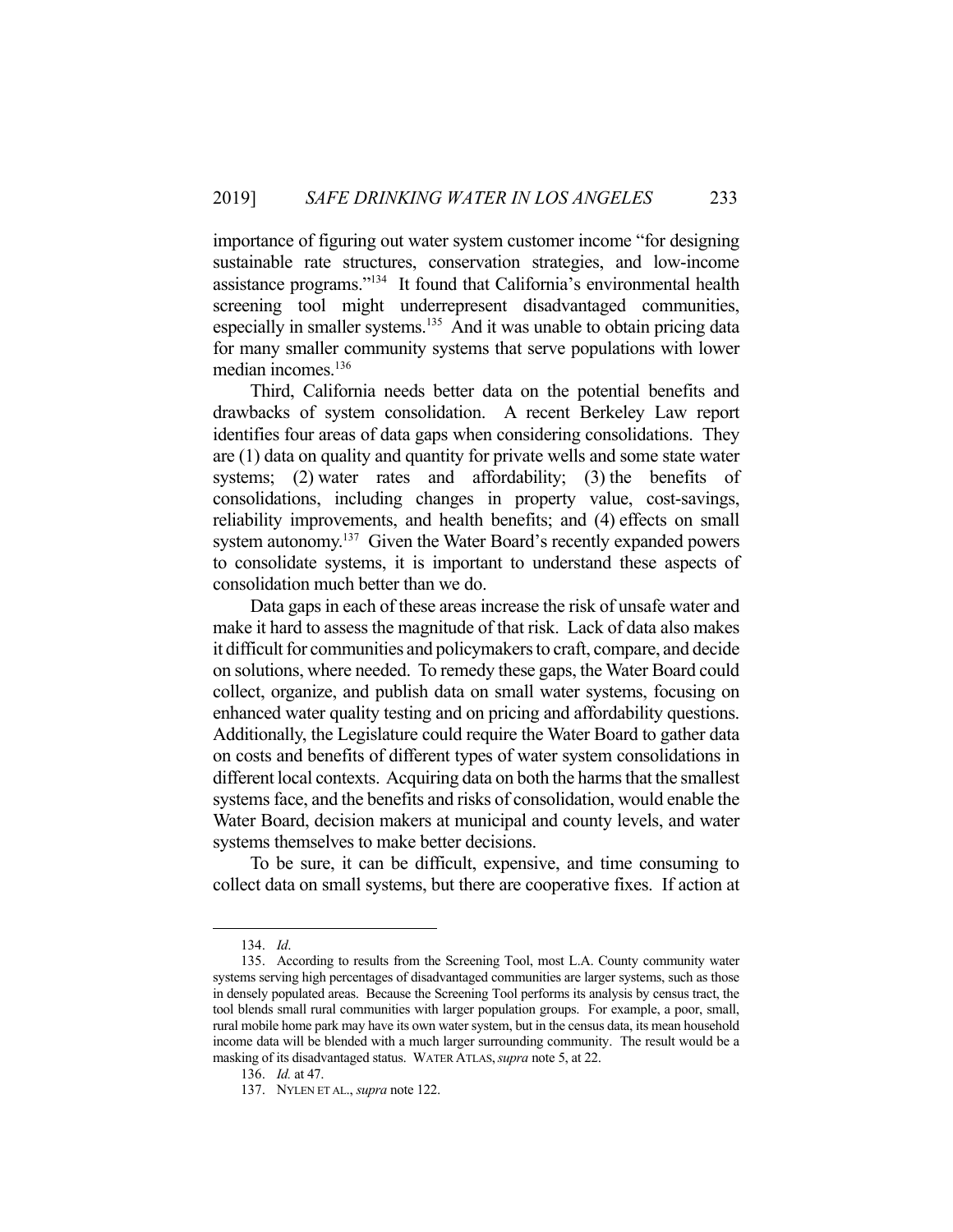importance of figuring out water system customer income "for designing sustainable rate structures, conservation strategies, and low-income assistance programs."134 It found that California's environmental health screening tool might underrepresent disadvantaged communities, especially in smaller systems.<sup>135</sup> And it was unable to obtain pricing data for many smaller community systems that serve populations with lower median incomes.<sup>136</sup>

 Third, California needs better data on the potential benefits and drawbacks of system consolidation. A recent Berkeley Law report identifies four areas of data gaps when considering consolidations. They are (1) data on quality and quantity for private wells and some state water systems; (2) water rates and affordability; (3) the benefits of consolidations, including changes in property value, cost-savings, reliability improvements, and health benefits; and (4) effects on small system autonomy.<sup>137</sup> Given the Water Board's recently expanded powers to consolidate systems, it is important to understand these aspects of consolidation much better than we do.

 Data gaps in each of these areas increase the risk of unsafe water and make it hard to assess the magnitude of that risk. Lack of data also makes it difficult for communities and policymakers to craft, compare, and decide on solutions, where needed. To remedy these gaps, the Water Board could collect, organize, and publish data on small water systems, focusing on enhanced water quality testing and on pricing and affordability questions. Additionally, the Legislature could require the Water Board to gather data on costs and benefits of different types of water system consolidations in different local contexts. Acquiring data on both the harms that the smallest systems face, and the benefits and risks of consolidation, would enable the Water Board, decision makers at municipal and county levels, and water systems themselves to make better decisions.

 To be sure, it can be difficult, expensive, and time consuming to collect data on small systems, but there are cooperative fixes. If action at

 <sup>134.</sup> *Id*.

 <sup>135.</sup> According to results from the Screening Tool, most L.A. County community water systems serving high percentages of disadvantaged communities are larger systems, such as those in densely populated areas. Because the Screening Tool performs its analysis by census tract, the tool blends small rural communities with larger population groups. For example, a poor, small, rural mobile home park may have its own water system, but in the census data, its mean household income data will be blended with a much larger surrounding community. The result would be a masking of its disadvantaged status. WATER ATLAS,*supra* note 5, at 22.

 <sup>136.</sup> *Id.* at 47.

 <sup>137.</sup> NYLEN ET AL., *supra* note 122.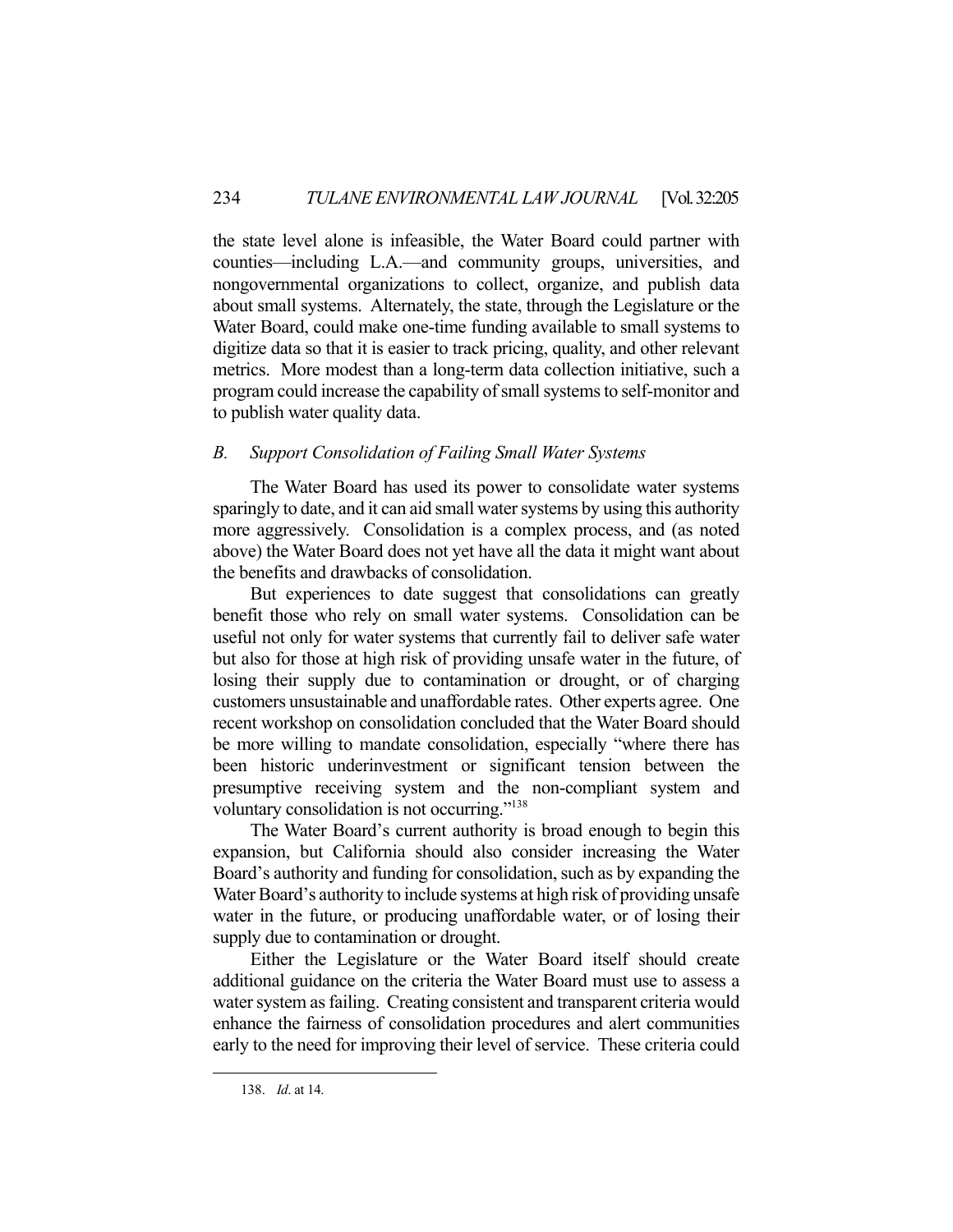the state level alone is infeasible, the Water Board could partner with counties—including L.A.—and community groups, universities, and nongovernmental organizations to collect, organize, and publish data about small systems. Alternately, the state, through the Legislature or the Water Board, could make one-time funding available to small systems to digitize data so that it is easier to track pricing, quality, and other relevant metrics. More modest than a long-term data collection initiative, such a program could increase the capability of small systems to self-monitor and to publish water quality data.

## *B. Support Consolidation of Failing Small Water Systems*

 The Water Board has used its power to consolidate water systems sparingly to date, and it can aid small water systems by using this authority more aggressively. Consolidation is a complex process, and (as noted above) the Water Board does not yet have all the data it might want about the benefits and drawbacks of consolidation.

 But experiences to date suggest that consolidations can greatly benefit those who rely on small water systems. Consolidation can be useful not only for water systems that currently fail to deliver safe water but also for those at high risk of providing unsafe water in the future, of losing their supply due to contamination or drought, or of charging customers unsustainable and unaffordable rates. Other experts agree. One recent workshop on consolidation concluded that the Water Board should be more willing to mandate consolidation, especially "where there has been historic underinvestment or significant tension between the presumptive receiving system and the non-compliant system and voluntary consolidation is not occurring."138

 The Water Board's current authority is broad enough to begin this expansion, but California should also consider increasing the Water Board's authority and funding for consolidation, such as by expanding the Water Board's authority to include systems at high risk of providing unsafe water in the future, or producing unaffordable water, or of losing their supply due to contamination or drought.

 Either the Legislature or the Water Board itself should create additional guidance on the criteria the Water Board must use to assess a water system as failing. Creating consistent and transparent criteria would enhance the fairness of consolidation procedures and alert communities early to the need for improving their level of service. These criteria could

 <sup>138.</sup> *Id*. at 14.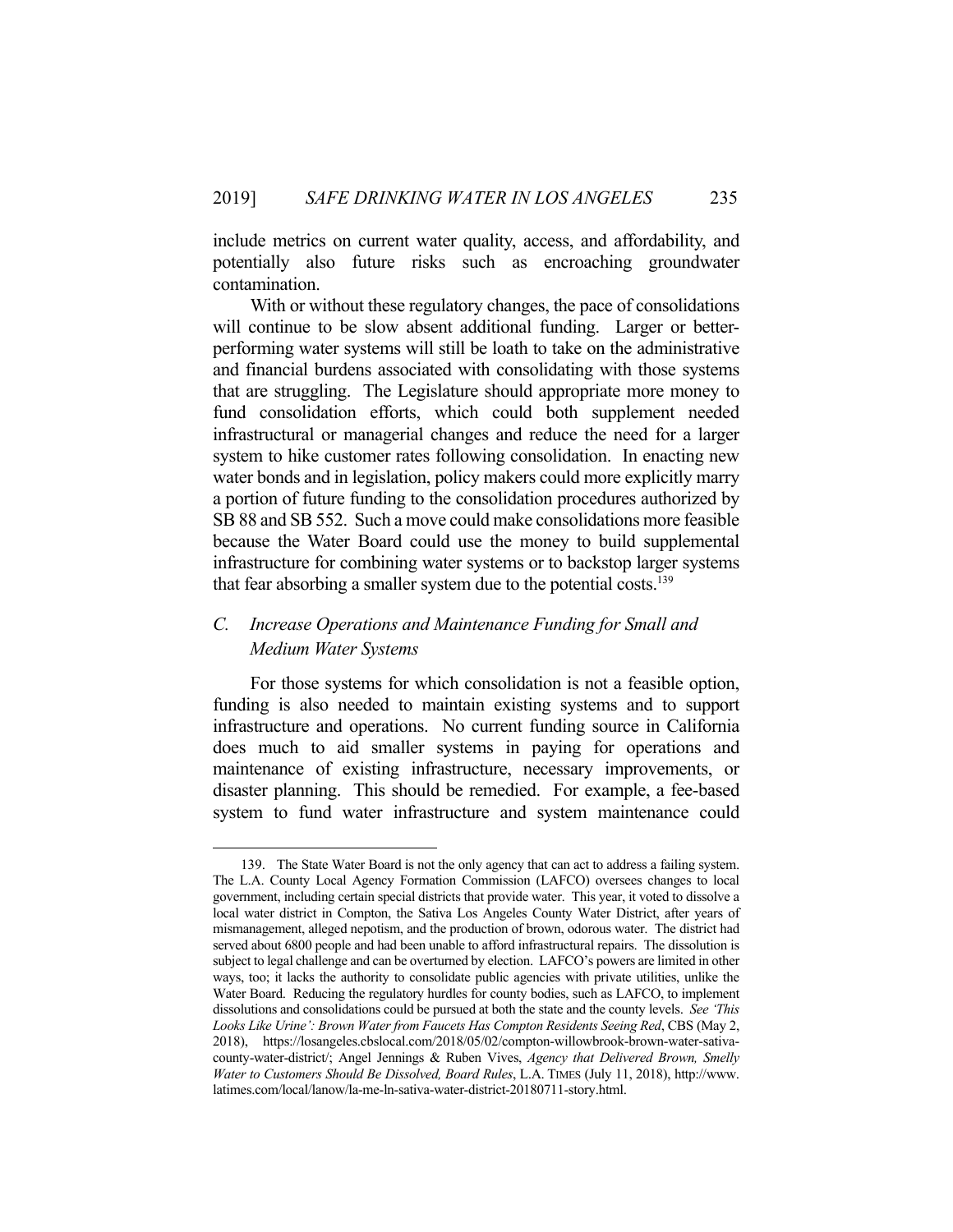include metrics on current water quality, access, and affordability, and potentially also future risks such as encroaching groundwater contamination.

 With or without these regulatory changes, the pace of consolidations will continue to be slow absent additional funding. Larger or betterperforming water systems will still be loath to take on the administrative and financial burdens associated with consolidating with those systems that are struggling. The Legislature should appropriate more money to fund consolidation efforts, which could both supplement needed infrastructural or managerial changes and reduce the need for a larger system to hike customer rates following consolidation. In enacting new water bonds and in legislation, policy makers could more explicitly marry a portion of future funding to the consolidation procedures authorized by SB 88 and SB 552. Such a move could make consolidations more feasible because the Water Board could use the money to build supplemental infrastructure for combining water systems or to backstop larger systems that fear absorbing a smaller system due to the potential costs.<sup>139</sup>

## *C. Increase Operations and Maintenance Funding for Small and Medium Water Systems*

 For those systems for which consolidation is not a feasible option, funding is also needed to maintain existing systems and to support infrastructure and operations. No current funding source in California does much to aid smaller systems in paying for operations and maintenance of existing infrastructure, necessary improvements, or disaster planning. This should be remedied. For example, a fee-based system to fund water infrastructure and system maintenance could

 <sup>139.</sup> The State Water Board is not the only agency that can act to address a failing system. The L.A. County Local Agency Formation Commission (LAFCO) oversees changes to local government, including certain special districts that provide water. This year, it voted to dissolve a local water district in Compton, the Sativa Los Angeles County Water District, after years of mismanagement, alleged nepotism, and the production of brown, odorous water. The district had served about 6800 people and had been unable to afford infrastructural repairs. The dissolution is subject to legal challenge and can be overturned by election. LAFCO's powers are limited in other ways, too; it lacks the authority to consolidate public agencies with private utilities, unlike the Water Board. Reducing the regulatory hurdles for county bodies, such as LAFCO, to implement dissolutions and consolidations could be pursued at both the state and the county levels. *See 'This Looks Like Urine': Brown Water from Faucets Has Compton Residents Seeing Red*, CBS (May 2, 2018), https://losangeles.cbslocal.com/2018/05/02/compton-willowbrook-brown-water-sativacounty-water-district/; Angel Jennings & Ruben Vives, *Agency that Delivered Brown, Smelly Water to Customers Should Be Dissolved, Board Rules*, L.A. TIMES (July 11, 2018), http://www. latimes.com/local/lanow/la-me-ln-sativa-water-district-20180711-story.html.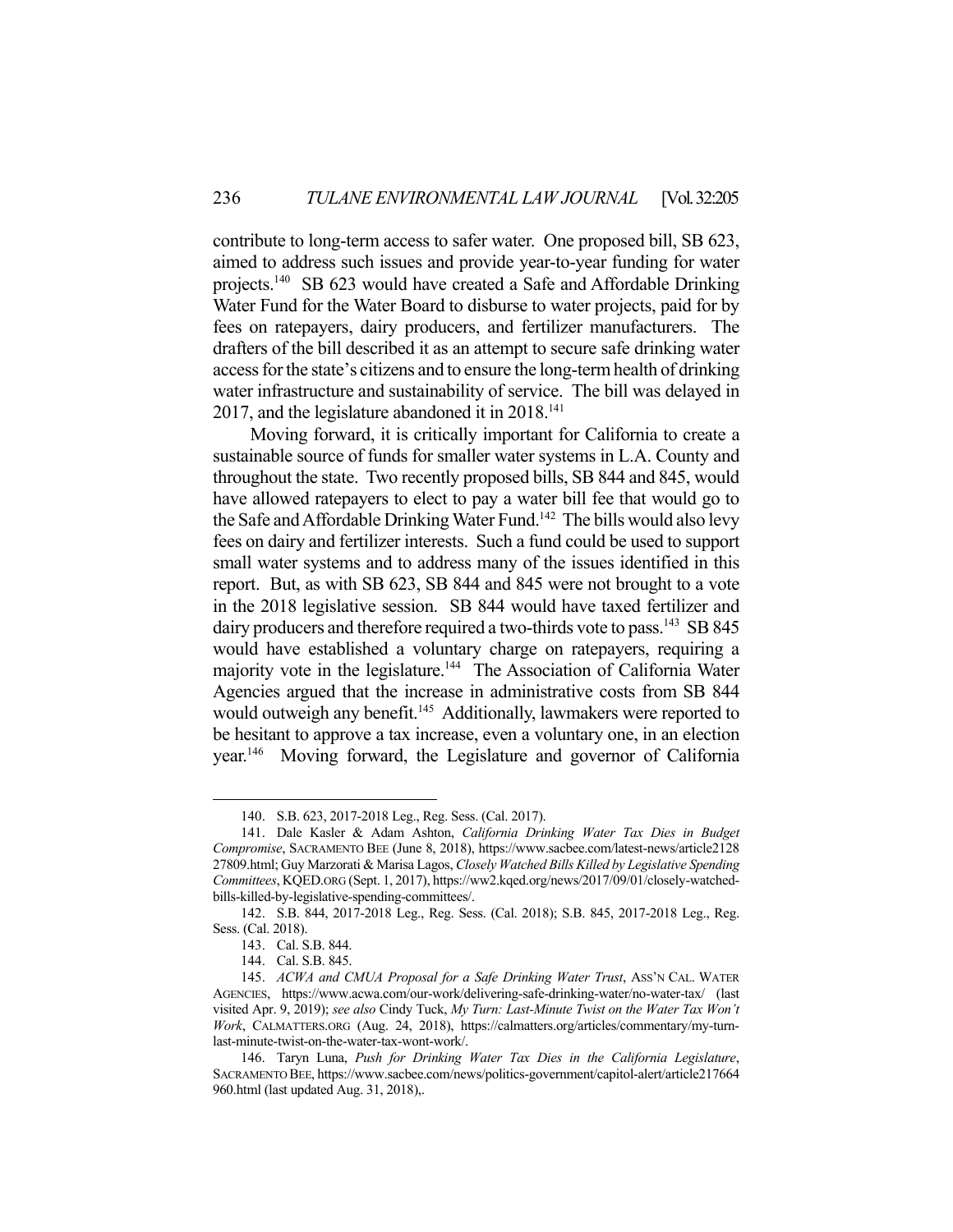contribute to long-term access to safer water. One proposed bill, SB 623, aimed to address such issues and provide year-to-year funding for water projects.140 SB 623 would have created a Safe and Affordable Drinking Water Fund for the Water Board to disburse to water projects, paid for by fees on ratepayers, dairy producers, and fertilizer manufacturers. The drafters of the bill described it as an attempt to secure safe drinking water access for the state's citizens and to ensure the long-term health of drinking water infrastructure and sustainability of service. The bill was delayed in 2017, and the legislature abandoned it in  $2018$ .<sup>141</sup>

 Moving forward, it is critically important for California to create a sustainable source of funds for smaller water systems in L.A. County and throughout the state. Two recently proposed bills, SB 844 and 845, would have allowed ratepayers to elect to pay a water bill fee that would go to the Safe and Affordable Drinking Water Fund.<sup>142</sup> The bills would also levy fees on dairy and fertilizer interests. Such a fund could be used to support small water systems and to address many of the issues identified in this report. But, as with SB 623, SB 844 and 845 were not brought to a vote in the 2018 legislative session. SB 844 would have taxed fertilizer and dairy producers and therefore required a two-thirds vote to pass.<sup>143</sup> SB 845 would have established a voluntary charge on ratepayers, requiring a majority vote in the legislature.<sup>144</sup> The Association of California Water Agencies argued that the increase in administrative costs from SB 844 would outweigh any benefit.<sup>145</sup> Additionally, lawmakers were reported to be hesitant to approve a tax increase, even a voluntary one, in an election year.146 Moving forward, the Legislature and governor of California

 <sup>140.</sup> S.B. 623, 2017-2018 Leg., Reg. Sess. (Cal. 2017).

 <sup>141.</sup> Dale Kasler & Adam Ashton, *California Drinking Water Tax Dies in Budget Compromise*, SACRAMENTO BEE (June 8, 2018), https://www.sacbee.com/latest-news/article2128 27809.html; Guy Marzorati & Marisa Lagos, *Closely Watched Bills Killed by Legislative Spending Committees*, KQED.ORG (Sept. 1, 2017), https://ww2.kqed.org/news/2017/09/01/closely-watchedbills-killed-by-legislative-spending-committees/.

 <sup>142.</sup> S.B. 844, 2017-2018 Leg., Reg. Sess. (Cal. 2018); S.B. 845, 2017-2018 Leg., Reg. Sess. (Cal. 2018).

 <sup>143.</sup> Cal. S.B. 844.

 <sup>144.</sup> Cal. S.B. 845.

<sup>145.</sup> *ACWA and CMUA Proposal for a Safe Drinking Water Trust*, Ass'N CAL. WATER AGENCIES, https://www.acwa.com/our-work/delivering-safe-drinking-water/no-water-tax/ (last visited Apr. 9, 2019); *see also* Cindy Tuck, *My Turn: Last-Minute Twist on the Water Tax Won't Work*, CALMATTERS.ORG (Aug. 24, 2018), https://calmatters.org/articles/commentary/my-turnlast-minute-twist-on-the-water-tax-wont-work/.

 <sup>146.</sup> Taryn Luna, *Push for Drinking Water Tax Dies in the California Legislature*, SACRAMENTO BEE, https://www.sacbee.com/news/politics-government/capitol-alert/article217664 960.html (last updated Aug. 31, 2018),.